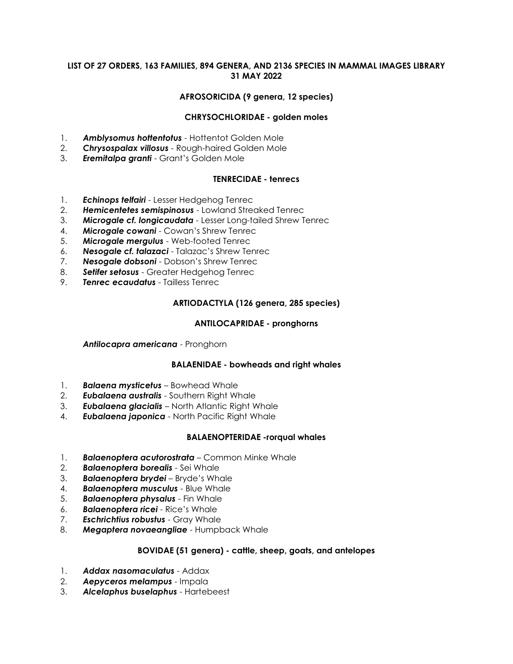## **LIST OF 27 ORDERS, 163 FAMILIES, 894 GENERA, AND 2136 SPECIES IN MAMMAL IMAGES LIBRARY 31 MAY 2022**

## **AFROSORICIDA (9 genera, 12 species)**

### **CHRYSOCHLORIDAE - golden moles**

- 1. *Amblysomus hottentotus* Hottentot Golden Mole
- 2. *Chrysospalax villosus* Rough-haired Golden Mole
- 3. *Eremitalpa granti* Grant's Golden Mole

### **TENRECIDAE - tenrecs**

- 1. *Echinops telfairi* Lesser Hedgehog Tenrec
- 2. *Hemicentetes semispinosus* Lowland Streaked Tenrec
- 3. *Microgale cf. longicaudata* Lesser Long-tailed Shrew Tenrec
- 4. *Microgale cowani* Cowan's Shrew Tenrec
- 5. *Microgale mergulus* Web-footed Tenrec
- 6. *Nesogale cf. talazaci* Talazac's Shrew Tenrec
- 7. *Nesogale dobsoni* Dobson's Shrew Tenrec
- 8. *Setifer setosus* Greater Hedgehog Tenrec
- 9. *Tenrec ecaudatus* Tailless Tenrec

### **ARTIODACTYLA (126 genera, 285 species)**

### **ANTILOCAPRIDAE - pronghorns**

*Antilocapra americana* - Pronghorn

#### **BALAENIDAE - bowheads and right whales**

- 1. *Balaena mysticetus –* Bowhead Whale
- 2. *Eubalaena australis* Southern Right Whale
- 3. *Eubalaena glacialis* North Atlantic Right Whale
- 4. *Eubalaena japonica* North Pacific Right Whale

### **BALAENOPTERIDAE -rorqual whales**

- 1. *Balaenoptera acutorostrata* Common Minke Whale
- 2. *Balaenoptera borealis* Sei Whale
- 3. *Balaenoptera brydei* Bryde's Whale
- 4. *Balaenoptera musculus* Blue Whale
- 5. *Balaenoptera physalus* Fin Whale
- 6. *Balaenoptera ricei* Rice's Whale
- 7. *Eschrichtius robustus* Gray Whale
- 8. *Megaptera novaeangliae* Humpback Whale

### **BOVIDAE (51 genera) - cattle, sheep, goats, and antelopes**

- 1. *Addax nasomaculatus* Addax
- 2. *Aepyceros melampus* Impala
- 3. *Alcelaphus buselaphus* Hartebeest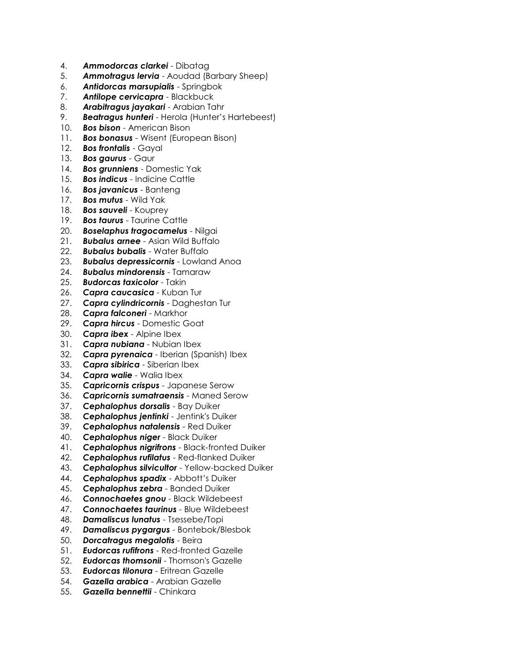- 4. *Ammodorcas clarkei* Dibatag
- 5. *Ammotragus lervia* Aoudad (Barbary Sheep)
- 6. *Antidorcas marsupialis* Springbok
- 7. *Antilope cervicapra* Blackbuck
- 8. *Arabitragus jayakari* Arabian Tahr
- 9. *Beatragus hunteri* Herola (Hunter's Hartebeest)
- 10. *Bos bison* American Bison
- 11. *Bos bonasus* Wisent (European Bison)
- 12. *Bos frontalis* Gayal
- 13. *Bos gaurus* Gaur
- 14. *Bos grunniens* Domestic Yak
- 15. *Bos indicus* Indicine Cattle
- 16. *Bos javanicus* Banteng
- 17. *Bos mutus* Wild Yak
- 18. *Bos sauveli* Kouprey
- 19. *Bos taurus* Taurine Cattle
- 20. *Boselaphus tragocamelus* Nilgai
- 21. *Bubalus arnee* Asian Wild Buffalo
- 22. *Bubalus bubalis* Water Buffalo
- 23. *Bubalus depressicornis* Lowland Anoa
- 24. *Bubalus mindorensis* Tamaraw
- 25. *Budorcas taxicolor* Takin
- 26. *Capra caucasica* Kuban Tur
- 27. *Capra cylindricornis* Daghestan Tur
- 28. *Capra falconeri* Markhor
- 29. *Capra hircus* Domestic Goat
- 30. *Capra ibex* Alpine Ibex
- 31. *Capra nubiana* Nubian Ibex
- 32. *Capra pyrenaica* Iberian (Spanish) Ibex
- 33. *Capra sibirica* Siberian Ibex
- 34. *Capra walie* Walia Ibex
- 35. *Capricornis crispus* Japanese Serow
- 36. *Capricornis sumatraensis* Maned Serow
- 37. *Cephalophus dorsalis* Bay Duiker
- 38. *Cephalophus jentinki* Jentink's Duiker
- 39. *Cephalophus natalensis* Red Duiker
- 40. *Cephalophus niger* Black Duiker
- 41. *Cephalophus nigrifrons* Black-fronted Duiker
- 42. *Cephalophus rufilatus* Red-flanked Duiker
- 43. *Cephalophus silvicultor* Yellow-backed Duiker
- 44. *Cephalophus spadix* Abbott's Duiker
- 45. *Cephalophus zebra* Banded Duiker
- 46. *Connochaetes gnou* Black Wildebeest
- 47. *Connochaetes taurinus* Blue Wildebeest
- 48. *Damaliscus lunatus* Tsessebe/Topi
- 49. *Damaliscus pygargus* Bontebok/Blesbok
- 50. *Dorcatragus megalotis* Beira
- 51. *Eudorcas rufifrons* Red-fronted Gazelle
- 52. *Eudorcas thomsonii* Thomson's Gazelle
- 53. *Eudorcas tilonura* Eritrean Gazelle
- 54. *Gazella arabica* Arabian Gazelle
- 55. *Gazella bennettii* Chinkara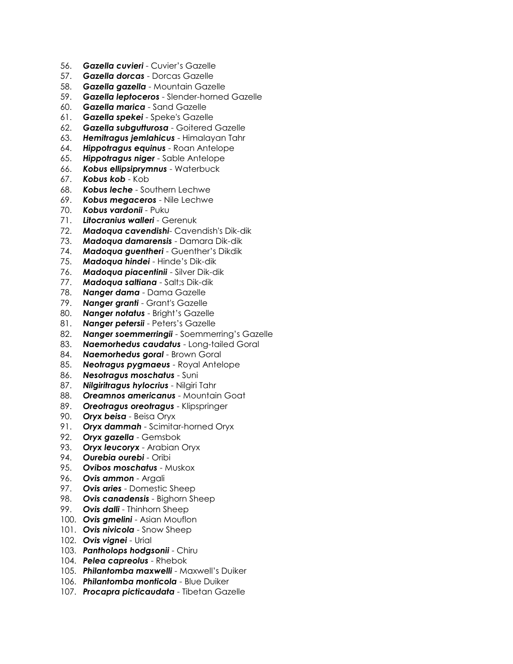- 56. *Gazella cuvieri* Cuvier's Gazelle
- 57. *Gazella dorcas* Dorcas Gazelle
- 58. *Gazella gazella* Mountain Gazelle
- 59. *Gazella leptoceros* Slender-horned Gazelle
- 60. *Gazella marica* Sand Gazelle
- 61. *Gazella spekei* Speke's Gazelle
- 62. *Gazella subgutturosa* Goitered Gazelle
- 63. *Hemitragus jemlahicus* Himalayan Tahr
- 64. *Hippotragus equinus* Roan Antelope
- 65. *Hippotragus niger* Sable Antelope
- 66. *Kobus ellipsiprymnus* Waterbuck
- 67. *Kobus kob* Kob
- 68. *Kobus leche* Southern Lechwe
- 69. *Kobus megaceros* Nile Lechwe
- 70. *Kobus vardonii* Puku
- 71. *Litocranius walleri* Gerenuk
- 72. *Madoqua cavendishi* Cavendish's Dik-dik
- 73. *Madoqua damarensis* Damara Dik-dik
- 74. *Madoqua guentheri* Guenther's Dikdik
- 75. *Madoqua hindei* Hinde's Dik-dik
- 76. *Madoqua piacentinii* Silver Dik-dik
- 77. *Madoqua saltiana* Salt;s Dik-dik
- 78. *Nanger dama* Dama Gazelle
- 79. *Nanger granti* Grant's Gazelle
- 80. *Nanger notatus* Bright's Gazelle
- 81. *Nanger petersii* Peters's Gazelle
- 82. *Nanger soemmerringii* Soemmerring's Gazelle
- 83. *Naemorhedus caudatus* Long-tailed Goral
- 84. *Naemorhedus goral* Brown Goral
- 85. *Neotragus pygmaeus* Royal Antelope
- 86. *Nesotragus moschatus* Suni
- 87. *Nilgiritragus hylocrius* Nilgiri Tahr
- 88. *Oreamnos americanus* Mountain Goat
- 89. *Oreotragus oreotragus* Klipspringer
- 90. *Oryx beisa* Beisa Oryx
- 91. *Oryx dammah* Scimitar-horned Oryx
- 92. *Oryx gazella* Gemsbok
- 93. *Oryx leucoryx* Arabian Oryx
- 94. *Ourebia ourebi* Oribi
- 95. *Ovibos moschatus* Muskox
- 96. *Ovis ammon* Argali
- 97. *Ovis aries* Domestic Sheep
- 98. *Ovis canadensis* Bighorn Sheep
- 99. *Ovis dalli* Thinhorn Sheep
- 100. *Ovis gmelini* Asian Mouflon
- 101. *Ovis nivicola* Snow Sheep
- 102. *Ovis vignei* Urial
- 103. *Pantholops hodgsonii* Chiru
- 104. *Pelea capreolus* Rhebok
- 105. *Philantomba maxwelli* Maxwell's Duiker
- 106. *Philantomba monticola* Blue Duiker
- 107. *Procapra picticaudata* Tibetan Gazelle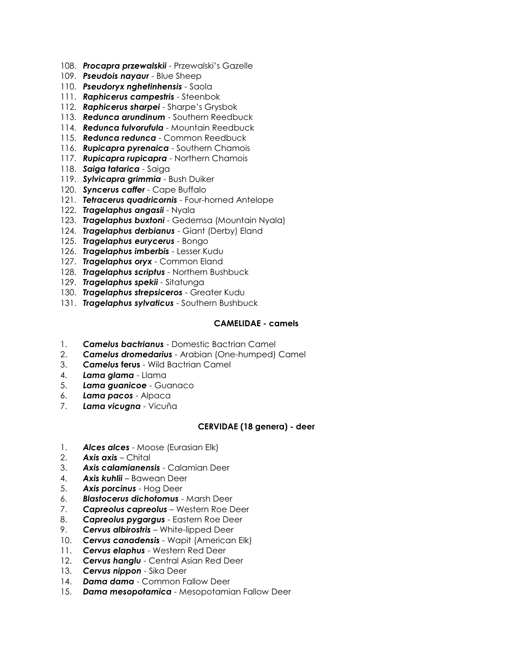- 108. *Procapra przewalskii* Przewalski's Gazelle
- 109. *Pseudois nayaur* Blue Sheep
- 110. *Pseudoryx nghetinhensis* Saola
- 111. *Raphicerus campestris* Steenbok
- 112. *Raphicerus sharpei* Sharpe's Grysbok
- 113. *Redunca arundinum* Southern Reedbuck
- 114. *Redunca fulvorufula* Mountain Reedbuck
- 115. *Redunca redunca* Common Reedbuck
- 116. *Rupicapra pyrenaica* Southern Chamois
- 117. *Rupicapra rupicapra* Northern Chamois
- 118. *Saiga tatarica* Saiga
- 119. *Sylvicapra grimmia* Bush Duiker
- 120. *Syncerus caffer* Cape Buffalo
- 121. *Tetracerus quadricornis* Four-horned Antelope
- 122. *Tragelaphus angasii* Nyala
- 123. *Tragelaphus buxtoni* Gedemsa (Mountain Nyala)
- 124. *Tragelaphus derbianus* Giant (Derby) Eland
- 125. *Tragelaphus eurycerus* Bongo
- 126. *Tragelaphus imberbis* Lesser Kudu
- 127. *Tragelaphus oryx* Common Eland
- 128. *Tragelaphus scriptus* Northern Bushbuck
- 129. *Tragelaphus spekii* Sitatunga
- 130. *Tragelaphus strepsiceros* Greater Kudu
- 131. *Tragelaphus sylvaticus* Southern Bushbuck

### **CAMELIDAE - camels**

- 1. *Camelus bactrianus* Domestic Bactrian Camel
- 2. *Camelus dromedarius* Arabian (One-humped) Camel
- 3. *Camelus* **ferus** Wild Bactrian Camel
- 4. *Lama glama* Llama
- 5. *Lama guanicoe* Guanaco
- 6. *Lama pacos* Alpaca
- 7. *Lama vicugna* Vicuña

### **CERVIDAE (18 genera) - deer**

- 1. *Alces alces* Moose (Eurasian Elk)
- 2. *Axis axis* Chital
- 3. *Axis calamianensis* Calamian Deer
- 4. *Axis kuhlii* Bawean Deer
- 5. *Axis porcinus* Hog Deer
- 6. *Blastocerus dichotomus* Marsh Deer
- 7. *Capreolus capreolus* Western Roe Deer
- 8. *Capreolus pygargus* Eastern Roe Deer
- 9. *Cervus albirostris* White-lipped Deer
- 10. *Cervus canadensis* Wapit (American Elk)
- 11. *Cervus elaphus* Western Red Deer
- 12. *Cervus hanglu* Central Asian Red Deer
- 13. *Cervus nippon* Sika Deer
- 14. *Dama dama* Common Fallow Deer
- 15. *Dama mesopotamica* Mesopotamian Fallow Deer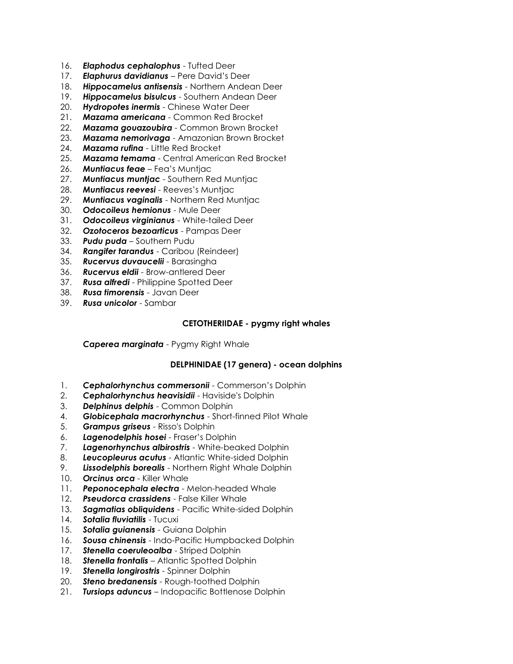- 16. *Elaphodus cephalophus* Tufted Deer
- 17. *Elaphurus davidianus* Pere David's Deer
- 18. *Hippocamelus antisensis* Northern Andean Deer
- 19. *Hippocamelus bisulcus* Southern Andean Deer
- 20. *Hydropotes inermis* Chinese Water Deer
- 21. *Mazama americana* Common Red Brocket
- **Mazama gouazoubira** Common Brown Brocket
- 23. *Mazama nemorivaga* Amazonian Brown Brocket
- 24. *Mazama rufina* Little Red Brocket
- 25. *Mazama temama* Central American Red Brocket
- 26. *Muntiacus feae* Fea's Muntjac
- 27. *Muntiacus muntjac* Southern Red Muntjac
- 28. *Muntiacus reevesi* Reeves's Muntjac
- 29. *Muntiacus vaginalis* Northern Red Muntjac
- 30. *Odocoileus hemionus* Mule Deer
- 31. *Odocoileus virginianus* White-tailed Deer
- 32. *Ozotoceros bezoarticus* Pampas Deer
- 33. *Pudu puda* Southern Pudu
- 34. *Rangifer tarandus* Caribou (Reindeer)
- 35. *Rucervus duvaucelii* Barasingha
- 36. *Rucervus eldii* Brow-antlered Deer
- 37. *Rusa alfredi* Philippine Spotted Deer
- 38. *Rusa timorensis* Javan Deer
- 39. *Rusa unicolor* Sambar

### **CETOTHERIIDAE - pygmy right whales**

*Caperea marginata* - Pygmy Right Whale

### **DELPHINIDAE (17 genera) - ocean dolphins**

- 1. *Cephalorhynchus commersonii* Commerson's Dolphin
- 2. *Cephalorhynchus heavisidii* Haviside's Dolphin
- 3. *Delphinus delphis* Common Dolphin
- 4. *Globicephala macrorhynchus* Short-finned Pilot Whale
- 5. *Grampus griseus* Risso's Dolphin
- 6. *Lagenodelphis hosei* Fraser's Dolphin
- 7. *Lagenorhynchus albirostris* White-beaked Dolphin
- 8. *Leucopleurus acutus* Atlantic White-sided Dolphin
- 9. *Lissodelphis borealis* Northern Right Whale Dolphin
- 10. *Orcinus orca* Killer Whale
- 11. *Peponocephala electra* Melon-headed Whale
- 12. *Pseudorca crassidens* False Killer Whale
- 13. *Sagmatias obliquidens* Pacific White-sided Dolphin
- 14. **Sotalia fluviatilis** Tucuxi
- 15. *Sotalia guianensis* Guiana Dolphin
- 16. *Sousa chinensis* Indo-Pacific Humpbacked Dolphin
- 17. *Stenella coeruleoalba* Striped Dolphin
- 18. *Stenella frontalis* Atlantic Spotted Dolphin
- 19. *Stenella longirostris* Spinner Dolphin
- 20. *Steno bredanensis* Rough-toothed Dolphin
- 21. *Tursiops aduncus* Indopacific Bottlenose Dolphin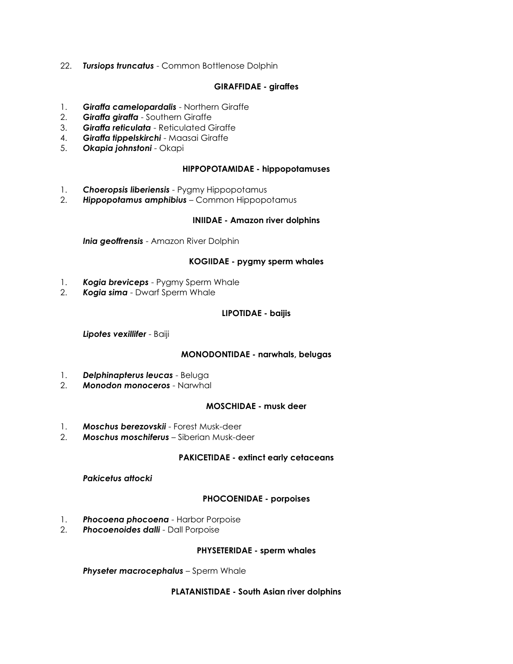22. *Tursiops truncatus* - Common Bottlenose Dolphin

### **GIRAFFIDAE - giraffes**

- 1. *Giraffa camelopardalis* Northern Giraffe
- 2. *Giraffa giraffa* Southern Giraffe
- 3. *Giraffa reticulata* Reticulated Giraffe
- 4. *Giraffa tippelskirchi* Maasai Giraffe
- 5. *Okapia johnstoni* Okapi

### **HIPPOPOTAMIDAE - hippopotamuses**

- 1. *Choeropsis liberiensis* Pygmy Hippopotamus
- 2. *Hippopotamus amphibius* Common Hippopotamus

#### **INIIDAE - Amazon river dolphins**

*Inia geoffrensis* - Amazon River Dolphin

#### **KOGIIDAE - pygmy sperm whales**

- 1. *Kogia breviceps* Pygmy Sperm Whale
- 2. *Kogia sima* Dwarf Sperm Whale

### **LIPOTIDAE - baijis**

*Lipotes vexillifer* - Baiji

#### **MONODONTIDAE - narwhals, belugas**

- 1. *Delphinapterus leucas* Beluga
- 2. *Monodon monoceros* Narwhal

### **MOSCHIDAE - musk deer**

- 1. *Moschus berezovskii* Forest Musk-deer
- 2. *Moschus moschiferus* Siberian Musk-deer

#### **PAKICETIDAE - extinct early cetaceans**

#### *Pakicetus attocki*

### **PHOCOENIDAE - porpoises**

- 1. *Phocoena phocoena* Harbor Porpoise
- 2. *Phocoenoides dalli* Dall Porpoise

#### **PHYSETERIDAE - sperm whales**

*Physeter macrocephalus* – Sperm Whale

#### **PLATANISTIDAE - South Asian river dolphins**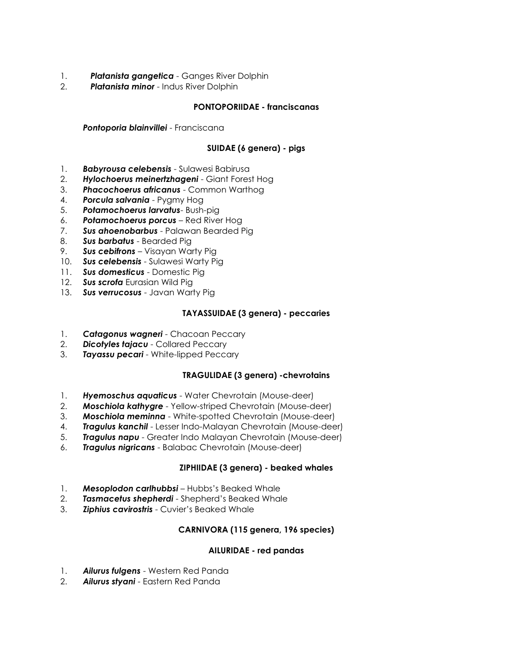- 1. *Platanista gangetica* Ganges River Dolphin
- 2. *Platanista minor* Indus River Dolphin

# **PONTOPORIIDAE - franciscanas**

*Pontoporia blainvillei* - Franciscana

# **SUIDAE (6 genera) - pigs**

- 1. *Babyrousa celebensis* Sulawesi Babirusa
- 2. *Hylochoerus meinertzhageni* Giant Forest Hog
- 3. *Phacochoerus africanus* Common Warthog
- 4. *Porcula salvania* Pygmy Hog
- 5. *Potamochoerus larvatus* Bush-pig
- 6. *Potamochoerus porcus* Red River Hog
- 7. *Sus ahoenobarbus* Palawan Bearded Pig
- 8. *Sus barbatus* Bearded Pig
- 9. *Sus cebifrons* Visayan Warty Pig
- 10. *Sus celebensis* Sulawesi Warty Pig
- 11. *Sus domesticus* Domestic Pig
- 12. *Sus scrofa* Eurasian Wild Pig
- 13. *Sus verrucosus* Javan Warty Pig

# **TAYASSUIDAE (3 genera) - peccaries**

- 1. *Catagonus wagneri* Chacoan Peccary
- 2. *Dicotyles tajacu* Collared Peccary
- 3. *Tayassu pecari* White-lipped Peccary

# **TRAGULIDAE (3 genera) -chevrotains**

- 1. *Hyemoschus aquaticus* Water Chevrotain (Mouse-deer)
- 2. *Moschiola kathygre* Yellow-striped Chevrotain (Mouse-deer)
- 3. *Moschiola meminna* White-spotted Chevrotain (Mouse-deer)
- 4. *Tragulus kanchil* Lesser Indo-Malayan Chevrotain (Mouse-deer)
- 5. *Tragulus napu* Greater Indo Malayan Chevrotain (Mouse-deer)
- 6. *Tragulus nigricans* Balabac Chevrotain (Mouse-deer)

# **ZIPHIIDAE (3 genera) - beaked whales**

- 1. *Mesoplodon carlhubbsi* Hubbs's Beaked Whale
- 2. *Tasmacetus shepherdi* Shepherd's Beaked Whale
- 3. *Ziphius cavirostris* Cuvier's Beaked Whale

# **CARNIVORA (115 genera, 196 species)**

# **AILURIDAE - red pandas**

- 1. *Ailurus fulgens* Western Red Panda
- 2. *Ailurus styani* Eastern Red Panda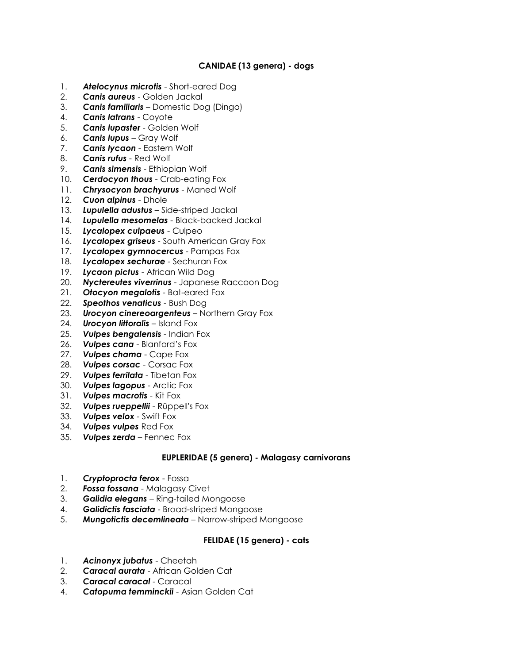# **CANIDAE (13 genera) - dogs**

- 1. *Atelocynus microtis* Short-eared Dog
- 2. *Canis aureus* Golden Jackal
- 3. *Canis familiaris* Domestic Dog (Dingo)
- 4. *Canis latrans* Coyote
- 5. *Canis lupaster* Golden Wolf
- 6. *Canis lupus* Gray Wolf
- 7. *Canis lycaon* Eastern Wolf
- 8. *Canis rufus* Red Wolf
- 9. *Canis simensis* Ethiopian Wolf
- 10. *Cerdocyon thous* Crab-eating Fox
- 11. *Chrysocyon brachyurus* Maned Wolf
- 12. *Cuon alpinus* Dhole
- 13. *Lupulella adustus* Side-striped Jackal
- 14. *Lupulella mesomelas* Black-backed Jackal
- 15. *Lycalopex culpaeus* Culpeo
- 16. *Lycalopex griseus* South American Gray Fox
- 17. *Lycalopex gymnocercus* Pampas Fox
- 18. *Lycalopex sechurae* Sechuran Fox
- 19. *Lycaon pictus* African Wild Dog
- 20. *Nyctereutes viverrinus* Japanese Raccoon Dog
- 21. *Otocyon megalotis* Bat-eared Fox
- 22. *Speothos venaticus* Bush Dog
- 23. *Urocyon cinereoargenteus* Northern Gray Fox
- 24. *Urocyon littoralis* Island Fox
- 25. *Vulpes bengalensis* Indian Fox
- 26. *Vulpes cana* Blanford's Fox
- 27. *Vulpes chama* Cape Fox
- 28. *Vulpes corsac* Corsac Fox
- 29. *Vulpes ferrilata* Tibetan Fox
- 30. *Vulpes lagopus* Arctic Fox
- 31. *Vulpes macrotis* Kit Fox
- 32. *Vulpes rueppellii* Rüppell's Fox
- 33. *Vulpes velox* Swift Fox
- 34. *Vulpes vulpes* Red Fox
- 35. *Vulpes zerda* Fennec Fox

### **EUPLERIDAE (5 genera) - Malagasy carnivorans**

- 1. *Cryptoprocta ferox* Fossa
- 2. *Fossa fossana* Malagasy Civet
- 3. *Galidia elegans* Ring-tailed Mongoose
- 4. *Galidictis fasciata* Broad-striped Mongoose
- 5. *Mungotictis decemlineata* Narrow-striped Mongoose

### **FELIDAE (15 genera) - cats**

- 1. *Acinonyx jubatus* Cheetah
- 2. *Caracal aurata* African Golden Cat
- 3. *Caracal caracal* Caracal
- 4. *Catopuma temminckii* Asian Golden Cat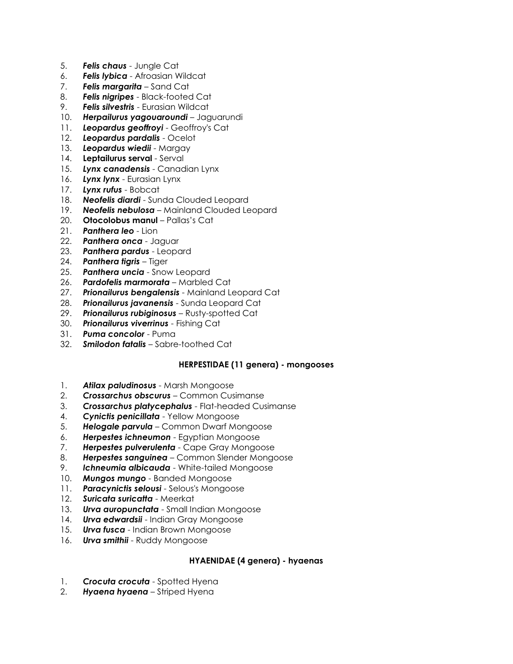- 5. *Felis chaus* Jungle Cat
- 6. *Felis lybica* Afroasian Wildcat
- 7. *Felis margarita* Sand Cat
- 8. *Felis nigripes* Black-footed Cat
- 9. *Felis silvestris* Eurasian Wildcat
- 10. *Herpailurus yagouaroundi* Jaguarundi
- 11. *Leopardus geoffroyi* Geoffroy's Cat
- 12. *Leopardus pardalis* Ocelot
- 13. *Leopardus wiedii* Margay
- 14. **Leptailurus serval** Serval
- 15. *Lynx canadensis* Canadian Lynx
- 16. *Lynx lynx* Eurasian Lynx
- 17. *Lynx rufus* Bobcat
- 18. *Neofelis diardi* Sunda Clouded Leopard
- 19. *Neofelis nebulosa* Mainland Clouded Leopard
- 20. **Otocolobus manul** Pallas's Cat
- 21. *Panthera leo* Lion
- 22. *Panthera onca* Jaguar
- 23. *Panthera pardus* Leopard
- 24. *Panthera tigris* Tiger
- 25. *Panthera uncia* Snow Leopard
- 26. *Pardofelis marmorata* Marbled Cat
- 27. *Prionailurus bengalensis* Mainland Leopard Cat
- 28. *Prionailurus javanensis* Sunda Leopard Cat
- 29. *Prionailurus rubiginosus* Rusty-spotted Cat
- 30. *Prionailurus viverrinus* Fishing Cat
- 31. *Puma concolor* Puma
- 32. *Smilodon fatalis* Sabre-toothed Cat

# **HERPESTIDAE (11 genera) - mongooses**

- 1. *Atilax paludinosus* Marsh Mongoose
- 2. *Crossarchus obscurus* Common Cusimanse
- 3. *Crossarchus platycephalus* Flat-headed Cusimanse
- 4. *Cynictis penicillata* Yellow Mongoose
- 5. *Helogale parvula* Common Dwarf Mongoose
- 6. *Herpestes ichneumon* Egyptian Mongoose
- 7. *Herpestes pulverulenta* Cape Gray Mongoose
- 8. *Herpestes sanguinea* Common Slender Mongoose
- 9. *Ichneumia albicauda* White-tailed Mongoose
- 10. *Mungos mungo* Banded Mongoose
- 11. *Paracynictis selousi*  Selous's Mongoose
- 12. *Suricata suricatta*  Meerkat
- 13. *Urva auropunctata* Small Indian Mongoose
- 14. *Urva edwardsii* Indian Gray Mongoose
- 15. *Urva fusca* Indian Brown Mongoose
- 16. *Urva smithii* Ruddy Mongoose

### **HYAENIDAE (4 genera) - hyaenas**

- 1. **Crocuta crocuta** Spotted Hyena
- 2. *Hyaena hyaena* Striped Hyena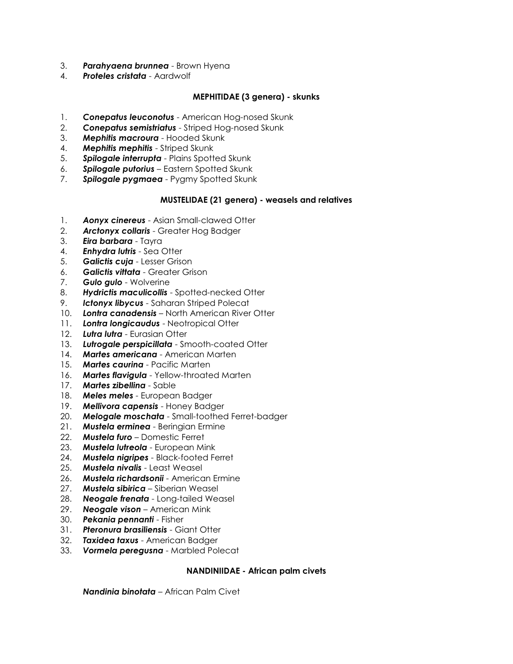- 3. *Parahyaena brunnea* Brown Hyena
- 4. *Proteles cristata* Aardwolf

### **MEPHITIDAE (3 genera) - skunks**

- 1. *Conepatus leuconotus* American Hog-nosed Skunk
- 2. *Conepatus semistriatus* Striped Hog-nosed Skunk
- 3. *Mephitis macroura* Hooded Skunk
- 4. *Mephitis mephitis* Striped Skunk
- 5. *Spilogale interrupta* Plains Spotted Skunk
- 6. *Spilogale putorius* Eastern Spotted Skunk
- 7. *Spilogale pygmaea* Pygmy Spotted Skunk

### **MUSTELIDAE (21 genera) - weasels and relatives**

- 1. *Aonyx cinereus* Asian Small-clawed Otter
- 2. *Arctonyx collaris* Greater Hog Badger
- 3. *Eira barbara* Tayra
- 4. *Enhydra lutris* Sea Otter
- 5. *Galictis cuja* Lesser Grison
- 6. *Galictis vittata* Greater Grison
- 7. *Gulo gulo* Wolverine
- 8. *Hydrictis maculicollis* Spotted-necked Otter
- 9. *Ictonyx libycus* Saharan Striped Polecat
- 10. *Lontra canadensis* North American River Otter
- 11. *Lontra longicaudus* Neotropical Otter
- 12. *Lutra lutra* Eurasian Otter
- 13. *Lutrogale perspicillata* Smooth-coated Otter
- 14. *Martes americana* American Marten
- 15. *Martes caurina* Pacific Marten
- 16. *Martes flavigula* Yellow-throated Marten
- 17. *Martes zibellina* Sable
- 18. *Meles meles* European Badger
- 19. *Mellivora capensis* Honey Badger
- 20. *Melogale moschata* Small-toothed Ferret-badger
- 21. *Mustela erminea* Beringian Ermine
- 22. *Mustela furo* Domestic Ferret
- 23. *Mustela lutreola* European Mink
- 24. *Mustela nigripes* Black-footed Ferret
- 25. *Mustela nivalis* Least Weasel
- 26. *Mustela richardsonii* American Ermine
- 27. *Mustela sibirica* Siberian Weasel
- 28. *Neogale frenata* Long-tailed Weasel
- 29. *Neogale vison* American Mink
- 30. *Pekania pennanti* Fisher
- 31. *Pteronura brasiliensis* Giant Otter
- 32. *Taxidea taxus* American Badger
- 33. *Vormela peregusna* Marbled Polecat

### **NANDINIIDAE - African palm civets**

*Nandinia binotata* – African Palm Civet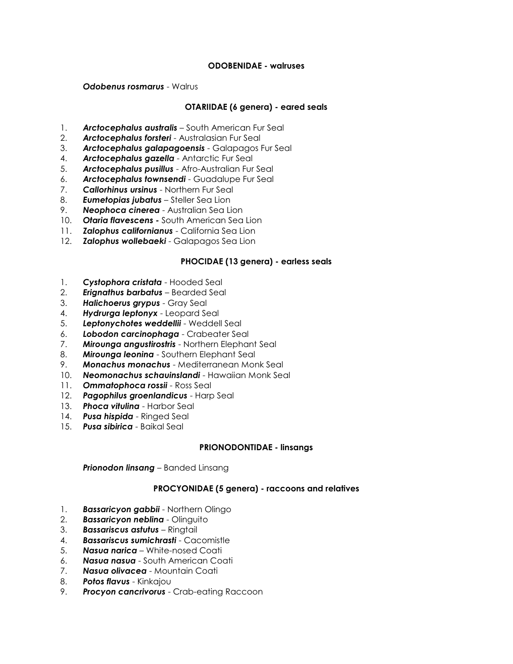### **ODOBENIDAE - walruses**

*Odobenus rosmarus* - Walrus

### **OTARIIDAE (6 genera) - eared seals**

- 1. *Arctocephalus australis* South American Fur Seal
- 2. *Arctocephalus forsteri* Australasian Fur Seal
- 3. *Arctocephalus galapagoensis* Galapagos Fur Seal
- 4. *Arctocephalus gazella* Antarctic Fur Seal
- 5. *Arctocephalus pusillus* Afro-Australian Fur Seal
- 6. *Arctocephalus townsendi* Guadalupe Fur Seal
- 7. *Callorhinus ursinus* Northern Fur Seal
- 8. *Eumetopias jubatus* Steller Sea Lion
- 9. *Neophoca cinerea* Australian Sea Lion
- 10. *Otaria flavescens -* South American Sea Lion
- 11. *Zalophus californianus* California Sea Lion
- 12. *Zalophus wollebaeki* Galapagos Sea Lion

### **PHOCIDAE (13 genera) - earless seals**

- 1. *Cystophora cristata* Hooded Seal
- 2. *Erignathus barbatus* Bearded Seal
- 3. *Halichoerus grypus* Gray Seal
- 4. *Hydrurga leptonyx* Leopard Seal
- 5. *Leptonychotes weddellii* Weddell Seal
- 6. *Lobodon carcinophaga* Crabeater Seal
- 7. *Mirounga angustirostris* Northern Elephant Seal
- 8. *Mirounga leonina* Southern Elephant Seal
- 9. *Monachus monachus* Mediterranean Monk Seal
- 10. *Neomonachus schauinslandi* Hawaiian Monk Seal
- 11. *Ommatophoca rossii* Ross Seal
- 12. *Pagophilus groenlandicus* Harp Seal
- 13. *Phoca vitulina* Harbor Seal
- 14. *Pusa hispida* Ringed Seal
- 15. *Pusa sibirica* Baikal Seal

#### **PRIONODONTIDAE - linsangs**

*Prionodon linsang* – Banded Linsang

### **PROCYONIDAE (5 genera) - raccoons and relatives**

- 1. *Bassaricyon gabbii* Northern Olingo
- 2. *Bassaricyon neblina* Olinguito
- 3. *Bassariscus astutus* Ringtail
- 4. *Bassariscus sumichrasti* Cacomistle
- 5. *Nasua narica* White-nosed Coati
- 6. *Nasua nasua* South American Coati
- 7. *Nasua olivacea* Mountain Coati
- 8. *Potos flavus* Kinkajou
- 9. *Procyon cancrivorus* Crab-eating Raccoon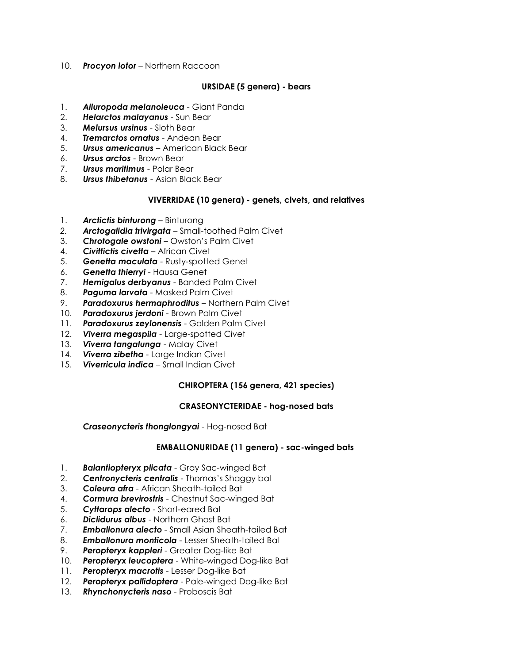10. *Procyon lotor* – Northern Raccoon

### **URSIDAE (5 genera) - bears**

- 1. *Ailuropoda melanoleuca* Giant Panda
- 2. *Helarctos malayanus* Sun Bear
- 3. *Melursus ursinus* Sloth Bear
- 4. *Tremarctos ornatus* Andean Bear
- 5. *Ursus americanus* American Black Bear
- 6. *Ursus arctos* Brown Bear
- 7. *Ursus maritimus* Polar Bear
- 8. *Ursus thibetanus* Asian Black Bear

### **VIVERRIDAE (10 genera) - genets, civets, and relatives**

- 1. *Arctictis binturong* Binturong
- *2. Arctogalidia trivirgata* Small-toothed Palm Civet
- 3. *Chrotogale owstoni* Owston's Palm Civet
- 4. *Civittictis civetta* African Civet
- 5. *Genetta maculata* Rusty-spotted Genet
- 6. *Genetta thierryi* Hausa Genet
- 7. *Hemigalus derbyanus* Banded Palm Civet
- 8. *Paguma larvata* Masked Palm Civet
- 9. *Paradoxurus hermaphroditus* Northern Palm Civet
- 10. *Paradoxurus jerdoni* Brown Palm Civet
- 11. *Paradoxurus zeylonensis* Golden Palm Civet
- 12. *Viverra megaspila* Large-spotted Civet
- 13. *Viverra tangalunga* Malay Civet
- 14. *Viverra zibetha* Large Indian Civet
- 15. *Viverricula indica* Small Indian Civet

### **CHIROPTERA (156 genera, 421 species)**

### **CRASEONYCTERIDAE - hog-nosed bats**

*Craseonycteris thonglongyai* - Hog-nosed Bat

### **EMBALLONURIDAE (11 genera) - sac-winged bats**

- 1. *Balantiopteryx plicata* Gray Sac-winged Bat
- 2. *Centronycteris centralis* Thomas's Shaggy bat
- 3. *Coleura afra* African Sheath-tailed Bat
- 4. *Cormura brevirostris* Chestnut Sac-winged Bat
- 5. *Cyttarops alecto* Short-eared Bat
- 6. *Diclidurus albus* Northern Ghost Bat
- 7. *Emballonura alecto* Small Asian Sheath-tailed Bat
- 8. *Emballonura monticola* Lesser Sheath-tailed Bat
- 9. *Peropteryx kappleri* Greater Dog-like Bat
- 10. *Peropteryx leucoptera* White-winged Dog-like Bat
- 11. *Peropteryx macrotis* Lesser Dog-like Bat
- 12. *Peropteryx pallidoptera* Pale-winged Dog-like Bat
- 13. *Rhynchonycteris naso* Proboscis Bat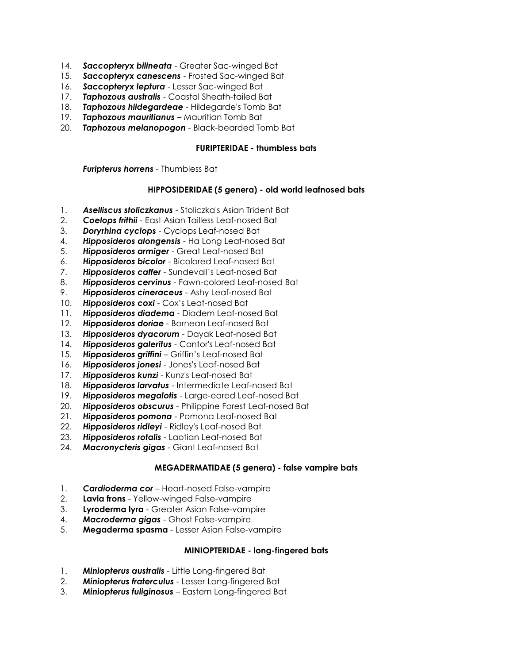- 14. *Saccopteryx bilineata* Greater Sac-winged Bat
- 15. *Saccopteryx canescens* Frosted Sac-winged Bat
- 16. *Saccopteryx leptura* Lesser Sac-winged Bat
- 17. *Taphozous australis* Coastal Sheath-tailed Bat
- 18. *Taphozous hildegardeae* Hildegarde's Tomb Bat
- 19. *Taphozous mauritianus* Mauritian Tomb Bat
- 20. *Taphozous melanopogon* Black-bearded Tomb Bat

### **FURIPTERIDAE - thumbless bats**

*Furipterus horrens* - Thumbless Bat

### **HIPPOSIDERIDAE (5 genera) - old world leafnosed bats**

- 1. *Aselliscus stoliczkanus* Stoliczka's Asian Trident Bat
- 2. *Coelops frithii* East Asian Tailless Leaf-nosed Bat
- 3. *Doryrhina cyclops* Cyclops Leaf-nosed Bat
- 4. *Hipposideros alongensis* Ha Long Leaf-nosed Bat
- 5. *Hipposideros armiger* Great Leaf-nosed Bat
- 6. *Hipposideros bicolor* Bicolored Leaf-nosed Bat
- 7. *Hipposideros caffer* Sundevall's Leaf-nosed Bat
- 8. *Hipposideros cervinus* Fawn-colored Leaf-nosed Bat
- 9. *Hipposideros cineraceus* Ashy Leaf-nosed Bat
- 10. *Hipposideros coxi* Cox's Leaf-nosed Bat
- 11. *Hipposideros diadema* Diadem Leaf-nosed Bat
- 12. *Hipposideros doriae* Bornean Leaf-nosed Bat
- 13. *Hipposideros dyacorum* Dayak Leaf-nosed Bat
- 14. *Hipposideros galeritus* Cantor's Leaf-nosed Bat
- 15. *Hipposideros griffini* Griffin's Leaf-nosed Bat
- 16. *Hipposideros jonesi* Jones's Leaf-nosed Bat
- 17. *Hipposideros kunzi* Kunz's Leaf-nosed Bat
- 18. *Hipposideros larvatus* Intermediate Leaf-nosed Bat
- 19. *Hipposideros megalotis* Large-eared Leaf-nosed Bat
- 20. *Hipposideros obscurus* Philippine Forest Leaf-nosed Bat
- 21. *Hipposideros pomona* Pomona Leaf-nosed Bat
- 22. *Hipposideros ridleyi* Ridley's Leaf-nosed Bat
- 23. *Hipposideros rotalis* Laotian Leaf-nosed Bat
- 24. *Macronycteris gigas* Giant Leaf-nosed Bat

### **MEGADERMATIDAE (5 genera) - false vampire bats**

- 1. *Cardioderma cor* Heart-nosed False-vampire
- 2. **Lavia frons** Yellow-winged False-vampire
- 3. **Lyroderma lyra** Greater Asian False-vampire
- 4. *Macroderma gigas* Ghost False-vampire
- 5. **Megaderma spasma** Lesser Asian False-vampire

### **MINIOPTERIDAE - long-fingered bats**

- 1. *Miniopterus australis* Little Long-fingered Bat
- 2. *Miniopterus fraterculus* Lesser Long-fingered Bat
- 3. *Miniopterus fuliginosus* Eastern Long-fingered Bat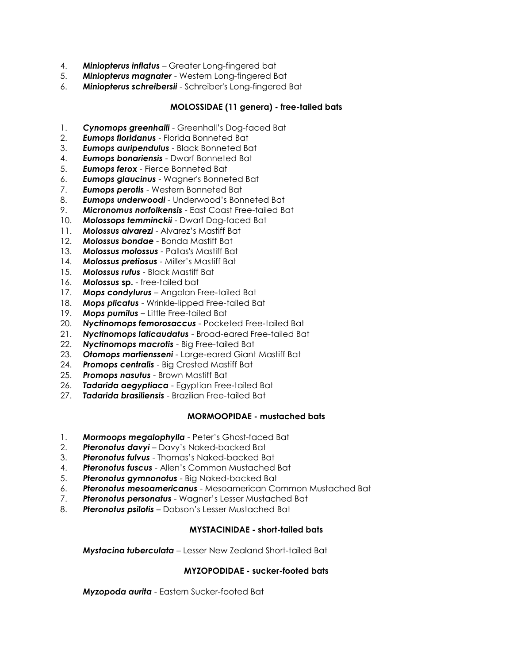- 4. *Miniopterus inflatus* Greater Long-fingered bat
- 5. *Miniopterus magnater* Western Long-fingered Bat
- 6. *Miniopterus schreibersii* Schreiber's Long-fingered Bat

# **MOLOSSIDAE (11 genera) - free-tailed bats**

- 1. *Cynomops greenhalli* Greenhall's Dog-faced Bat
- 2. *Eumops floridanus* Florida Bonneted Bat
- 3. *Eumops auripendulus* Black Bonneted Bat
- 4. *Eumops bonariensis* Dwarf Bonneted Bat
- 5. *Eumops ferox* Fierce Bonneted Bat
- 6. *Eumops glaucinus* Wagner's Bonneted Bat
- 7. *Eumops perotis* Western Bonneted Bat
- 8. *Eumops underwoodi* Underwood's Bonneted Bat
- 9. *Micronomus norfolkensis* East Coast Free-tailed Bat
- 10. *Molossops temminckii* Dwarf Dog-faced Bat
- 11. *Molossus alvarezi* Alvarez's Mastiff Bat
- 12. *Molossus bondae* Bonda Mastiff Bat
- 13. *Molossus molossus* Pallas's Mastiff Bat
- 14. *Molossus pretiosus* Miller's Mastiff Bat
- 15. *Molossus rufus* Black Mastiff Bat
- 16. *Molossus* **sp.** free-tailed bat
- 17. *Mops condylurus* Angolan Free-tailed Bat
- 18. *Mops plicatus* Wrinkle-lipped Free-tailed Bat
- 19. *Mops pumilus* Little Free-tailed Bat
- 20. *Nyctinomops femorosaccus* Pocketed Free-tailed Bat
- 21. *Nyctinomops laticaudatus* Broad-eared Free-tailed Bat
- 22. *Nyctinomops macrotis* Big Free-tailed Bat
- 23. *Otomops martiensseni* Large-eared Giant Mastiff Bat
- 24. *Promops centralis* Big Crested Mastiff Bat
- 25. *Promops nasutus* Brown Mastiff Bat
- 26. *Tadarida aegyptiaca* Egyptian Free-tailed Bat
- 27. *Tadarida brasiliensis* Brazilian Free-tailed Bat

### **MORMOOPIDAE - mustached bats**

- 1. *Mormoops megalophylla* Peter's Ghost-faced Bat
- 2. *Pteronotus davyi* Davy's Naked-backed Bat
- 3. *Pteronotus fulvus* Thomas's Naked-backed Bat
- 4. *Pteronotus fuscus* Allen's Common Mustached Bat
- 5. *Pteronotus gymnonotus* Big Naked-backed Bat
- 6. *Pteronotus mesoamericanus* Mesoamerican Common Mustached Bat
- 7. *Pteronotus personatus* Wagner's Lesser Mustached Bat
- 8. *Pteronotus psilotis* Dobson's Lesser Mustached Bat

# **MYSTACINIDAE - short-tailed bats**

*Mystacina tuberculata* – Lesser New Zealand Short-tailed Bat

### **MYZOPODIDAE - sucker-footed bats**

*Myzopoda aurita* - Eastern Sucker-footed Bat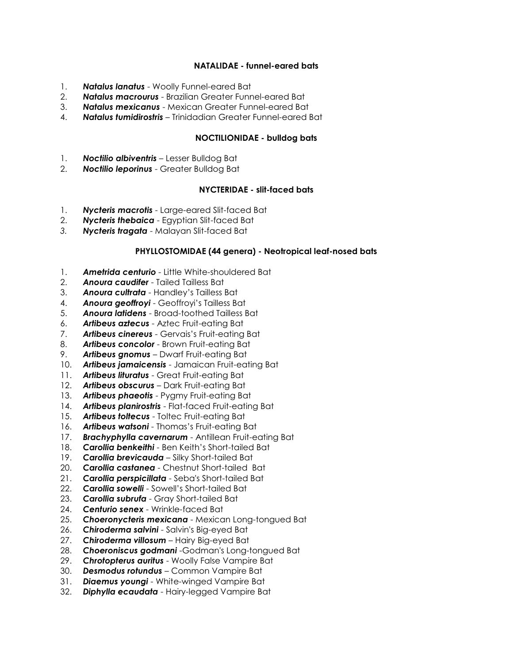### **NATALIDAE - funnel-eared bats**

- 1. *Natalus lanatus* Woolly Funnel-eared Bat
- 2. *Natalus macrourus* Brazilian Greater Funnel-eared Bat
- 3. *Natalus mexicanus* Mexican Greater Funnel-eared Bat
- 4. *Natalus tumidirostris* Trinidadian Greater Funnel-eared Bat

### **NOCTILIONIDAE - bulldog bats**

- 1. *Noctilio albiventris* Lesser Bulldog Bat
- 2. *Noctilio leporinus* Greater Bulldog Bat

### **NYCTERIDAE - slit-faced bats**

- 1. *Nycteris macrotis* Large-eared Slit-faced Bat
- 2. *Nycteris thebaica* Egyptian Slit-faced Bat
- *3. Nycteris tragata* Malayan Slit-faced Bat

### **PHYLLOSTOMIDAE (44 genera) - Neotropical leaf-nosed bats**

- 1. *Ametrida centurio* Little White-shouldered Bat
- 2. *Anoura caudifer* Tailed Tailless Bat
- 3. *Anoura cultrata* Handley's Tailless Bat
- 4. *Anoura geoffroyi* Geoffroyi's Tailless Bat
- 5. *Anoura latidens* Broad-toothed Tailless Bat
- 6. *Artibeus aztecus* Aztec Fruit-eating Bat
- 7. *Artibeus cinereus* Gervais's Fruit-eating Bat
- 8. *Artibeus concolor* Brown Fruit-eating Bat
- 9. *Artibeus gnomus* Dwarf Fruit-eating Bat
- 10. *Artibeus jamaicensis* Jamaican Fruit-eating Bat
- 11. *Artibeus lituratus* Great Fruit-eating Bat
- 12. *Artibeus obscurus* Dark Fruit-eating Bat
- 13. *Artibeus phaeotis* Pygmy Fruit-eating Bat
- 14. *Artibeus planirostris* Flat-faced Fruit-eating Bat
- 15. *Artibeus toltecus* Toltec Fruit-eating Bat
- 16. *Artibeus watsoni* Thomas's Fruit-eating Bat
- 17. *Brachyphylla cavernarum* Antillean Fruit-eating Bat
- 18. *Carollia benkeithi* Ben Keith's Short-tailed Bat
- 19. *Carollia brevicauda* Silky Short-tailed Bat
- 20. *Carollia castanea* Chestnut Short-tailed Bat
- 21. *Carollia perspicillata* Seba's Short-tailed Bat
- 22. *Carollia sowelli* Sowell's Short-tailed Bat
- 23. *Carollia subrufa* Gray Short-tailed Bat
- 24. *Centurio senex* Wrinkle-faced Bat
- 25. *Choeronycteris mexicana* Mexican Long-tongued Bat
- 26. *Chiroderma salvini* Salvin's Big-eyed Bat
- 27. *Chiroderma villosum* Hairy Big-eyed Bat
- 28. *Choeroniscus godmani* -Godman's Long-tongued Bat
- 29. *Chrotopterus auritus* Woolly False Vampire Bat
- 30. *Desmodus rotundus* Common Vampire Bat
- 31. *Diaemus youngi* White-winged Vampire Bat
- 32. *Diphylla ecaudata* Hairy-legged Vampire Bat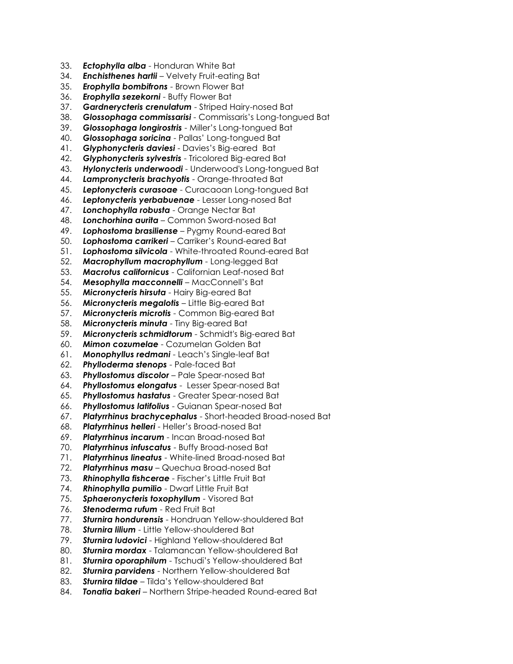- 33. *Ectophylla alba* Honduran White Bat
- 34. *Enchisthenes hartii* Velvety Fruit-eating Bat
- 35. *Erophylla bombifrons* Brown Flower Bat
- 36. *Erophylla sezekorni* Buffy Flower Bat
- 37. *Gardnerycteris crenulatum* Striped Hairy-nosed Bat
- 38. *Glossophaga commissarisi* Commissaris's Long-tongued Bat
- 39. *Glossophaga longirostris* Miller's Long-tongued Bat
- 40. *Glossophaga soricina* Pallas' Long-tongued Bat
- 41. *Glyphonycteris daviesi* Davies's Big-eared Bat
- 42. *Glyphonycteris sylvestris* Tricolored Big-eared Bat
- 43. *Hylonycteris underwoodi* Underwood's Long-tongued Bat
- 44. *Lampronycteris brachyotis* Orange-throated Bat
- 45. *Leptonycteris curasoae* Curacaoan Long-tongued Bat
- 46. *Leptonycteris yerbabuenae* Lesser Long-nosed Bat
- 47. *Lonchophylla robusta* Orange Nectar Bat
- 48. *Lonchorhina aurita* Common Sword-nosed Bat
- 49. *Lophostoma brasiliense* Pygmy Round-eared Bat
- 50. *Lophostoma carrikeri* Carriker's Round-eared Bat
- 51. *Lophostoma silvicola* White-throated Round-eared Bat
- 52. *Macrophyllum macrophyllum* Long-legged Bat
- 53. *Macrotus californicus* Californian Leaf-nosed Bat
- 54. *Mesophylla macconnelli* MacConnell's Bat
- 55. *Micronycteris hirsuta* Hairy Big-eared Bat
- 56. *Micronycteris megalotis* Little Big-eared Bat
- 57. *Micronycteris microtis* Common Big-eared Bat
- 58. *Micronycteris minuta* Tiny Big-eared Bat
- 59. *Micronycteris schmidtorum* Schmidt's Big-eared Bat
- 60. *Mimon cozumelae* Cozumelan Golden Bat
- 61. *Monophyllus redmani* Leach's Single-leaf Bat
- 62. *Phylloderma stenops* Pale-faced Bat
- 63. *Phyllostomus discolor* Pale Spear-nosed Bat
- 64. *Phyllostomus elongatus* Lesser Spear-nosed Bat
- 65. *Phyllostomus hastatus* Greater Spear-nosed Bat
- 66. *Phyllostomus latifolius* Guianan Spear-nosed Bat
- 67. *Platyrrhinus brachycephalus* Short-headed Broad-nosed Bat
- 68. *Platyrrhinus helleri* Heller's Broad-nosed Bat
- 69. *Platyrrhinus incarum* Incan Broad-nosed Bat
- 70. *Platyrrhinus infuscatus* Buffy Broad-nosed Bat
- 71. *Platyrrhinus lineatus* White-lined Broad-nosed Bat
- 72. *Platyrrhinus masu* Quechua Broad-nosed Bat
- 73. *Rhinophylla fishcerae* Fischer's Little Fruit Bat
- 74. *Rhinophylla pumilio* Dwarf Little Fruit Bat
- 75. *Sphaeronycteris toxophyllum* Visored Bat
- 76. *Stenoderma rufum* Red Fruit Bat
- 77. *Sturnira hondurensis* Hondruan Yellow-shouldered Bat
- 78. *Sturnira lilium* Little Yellow-shouldered Bat
- 79. *Sturnira ludovici* Highland Yellow-shouldered Bat
- 80. *Sturnira mordax* Talamancan Yellow-shouldered Bat
- 81. *Sturnira oporaphilum* Tschudi's Yellow-shouldered Bat
- 82. *Sturnira parvidens* Northern Yellow-shouldered Bat
- 83. *Sturnira tildae* Tilda's Yellow-shouldered Bat
- 84. *Tonatia bakeri* Northern Stripe-headed Round-eared Bat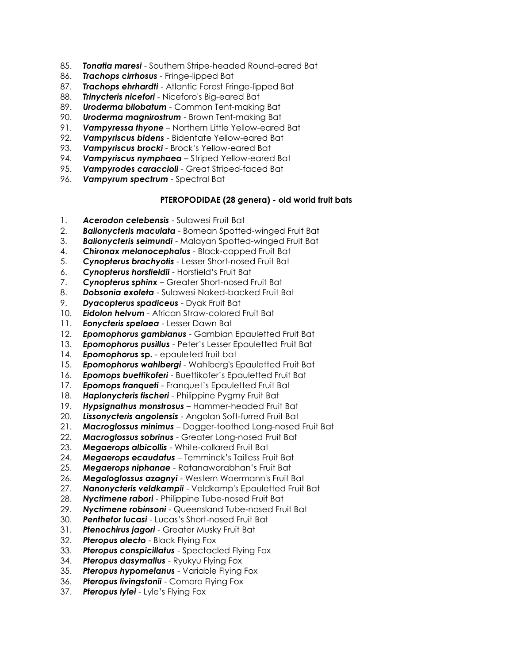- 85. *Tonatia maresi* Southern Stripe-headed Round-eared Bat
- 86. *Trachops cirrhosus* Fringe-lipped Bat
- 87. *Trachops ehrhardti* Atlantic Forest Fringe-lipped Bat
- 88. *Trinycteris nicefori* Niceforo's Big-eared Bat
- 89. *Uroderma bilobatum* Common Tent-making Bat
- 90. *Uroderma magnirostrum* Brown Tent-making Bat
- 91. *Vampyressa thyone* Northern Little Yellow-eared Bat
- 92. *Vampyriscus bidens* Bidentate Yellow-eared Bat
- 93. *Vampyriscus brocki* Brock's Yellow-eared Bat
- 94. *Vampyriscus nymphaea* Striped Yellow-eared Bat
- 95. *Vampyrodes caraccioli* Great Striped-faced Bat
- 96. *Vampyrum spectrum* Spectral Bat

### **PTEROPODIDAE (28 genera) - old world fruit bats**

- 1. *Acerodon celebensis* Sulawesi Fruit Bat
- 2. *Balionycteris maculata* Bornean Spotted-winged Fruit Bat
- 3. *Balionycteris seimundi* Malayan Spotted-winged Fruit Bat
- 4. *Chironax melanocephalus* Black-capped Fruit Bat
- 5. *Cynopterus brachyotis* Lesser Short-nosed Fruit Bat
- 6. *Cynopterus horsfieldii*  Horsfield's Fruit Bat
- 7. *Cynopterus sphinx* Greater Short-nosed Fruit Bat
- 8. *Dobsonia exoleta* Sulawesi Naked-backed Fruit Bat
- 9. *Dyacopterus spadiceus* Dyak Fruit Bat
- 10. *Eidolon helvum* African Straw-colored Fruit Bat
- 11. *Eonycteris spelaea* Lesser Dawn Bat
- 12. *Epomophorus gambianus* Gambian Epauletted Fruit Bat
- 13. *Epomophorus pusillus* Peter's Lesser Epauletted Fruit Bat
- **Epomophorus sp.** epauleted fruit bat
- 15. *Epomophorus wahlbergi* Wahlberg's Epauletted Fruit Bat
- 16. *Epomops buettikoferi* Buettikofer's Epauletted Fruit Bat
- 17. *Epomops franqueti* Franquet's Epauletted Fruit Bat
- 18. *Haplonycteris fischeri* Philippine Pygmy Fruit Bat
- 19. *Hypsignathus monstrosus* Hammer-headed Fruit Bat
- 20. *Lissonycteris angolensis* Angolan Soft-furred Fruit Bat
- 21. *Macroglossus minimus* Dagger-toothed Long-nosed Fruit Bat
- 22. *Macroglossus sobrinus* Greater Long-nosed Fruit Bat
- 23. *Megaerops albicollis* White-collared Fruit Bat
- 24. *Megaerops ecaudatus* Temminck's Tailless Fruit Bat
- 25. *Megaerops niphanae* Ratanaworabhan's Fruit Bat
- 26. *Megaloglossus azagnyi* Western Woermann's Fruit Bat
- 27. *Nanonycteris veldkampii* Veldkamp's Epauletted Fruit Bat
- 28. *Nyctimene rabori* Philippine Tube-nosed Fruit Bat
- 29. *Nyctimene robinsoni* Queensland Tube-nosed Fruit Bat
- 30. *Penthetor lucasi* Lucas's Short-nosed Fruit Bat
- 31. *Ptenochirus jagori* Greater Musky Fruit Bat
- 32. *Pteropus alecto* Black Flying Fox
- 33. *Pteropus conspicillatus* Spectacled Flying Fox
- 34. *Pteropus dasymallus* Ryukyu Flying Fox
- 35. *Pteropus hypomelanus* Variable Flying Fox
- 36. *Pteropus livingstonii* Comoro Flying Fox
- 37. *Pteropus lylei* Lyle's Flying Fox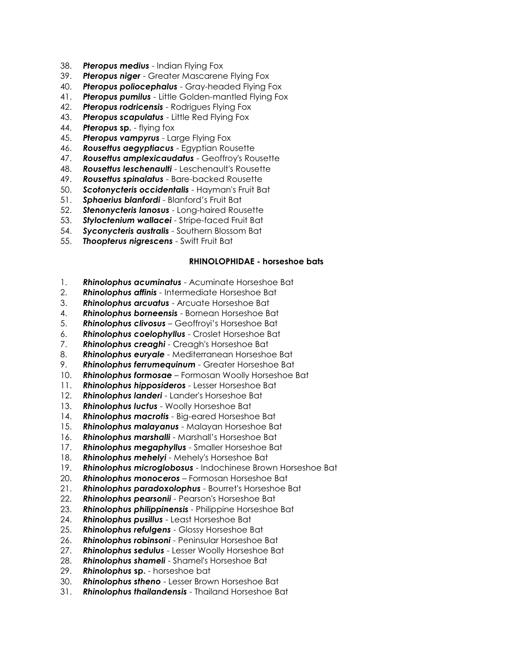- 38. *Pteropus medius* Indian Flying Fox
- 39. *Pteropus niger* Greater Mascarene Flying Fox
- 40. *Pteropus poliocephalus* Gray-headed Flying Fox
- 41. *Pteropus pumilus* Little Golden-mantled Flying Fox
- 42. *Pteropus rodricensis* Rodrigues Flying Fox
- 43. *Pteropus scapulatus* Little Red Flying Fox
- 44. *Pteropus* **sp.** flying fox
- 45. *Pteropus vampyrus* Large Flying Fox
- 46. *Rousettus aegyptiacus* Egyptian Rousette
- 47. *Rousettus amplexicaudatus* Geoffroy's Rousette
- 48. *Rousettus leschenaulti* Leschenault's Rousette
- 49. *Rousettus spinalatus* Bare-backed Rousette
- 50. *Scotonycteris occidentalis* Hayman's Fruit Bat
- 51. *Sphaerius blanfordi* Blanford's Fruit Bat
- 52. *Stenonycteris lanosus* Long-haired Rousette
- 53. *Styloctenium wallacei* Stripe-faced Fruit Bat
- 54. *Syconycteris australis* Southern Blossom Bat
- 55. *Thoopterus nigrescens* Swift Fruit Bat

#### **RHINOLOPHIDAE - horseshoe bats**

- 1. *Rhinolophus acuminatus* Acuminate Horseshoe Bat
- 2. *Rhinolophus affinis* Intermediate Horseshoe Bat
- 3. *Rhinolophus arcuatus* Arcuate Horseshoe Bat
- 4. *Rhinolophus borneensis* Bornean Horseshoe Bat
- 5. *Rhinolophus clivosus* Geoffroyi's Horseshoe Bat
- 6. *Rhinolophus coelophyllus* Croslet Horseshoe Bat
- 7. *Rhinolophus creaghi* Creagh's Horseshoe Bat
- 8. *Rhinolophus euryale* Mediterranean Horseshoe Bat
- 9. *Rhinolophus ferrumequinum* Greater Horseshoe Bat
- 10. *Rhinolophus formosae* Formosan Woolly Horseshoe Bat
- 11. *Rhinolophus hipposideros* Lesser Horseshoe Bat
- 12. *Rhinolophus landeri* Lander's Horseshoe Bat
- 13. *Rhinolophus luctus* Woolly Horseshoe Bat
- 14. *Rhinolophus macrotis* Big-eared Horseshoe Bat
- 15. *Rhinolophus malayanus* Malayan Horseshoe Bat
- 16. *Rhinolophus marshalli* Marshall's Horseshoe Bat
- 17. *Rhinolophus megaphyllus* Smaller Horseshoe Bat
- 18. *Rhinolophus mehelyi* Mehely's Horseshoe Bat
- 19. *Rhinolophus microglobosus* Indochinese Brown Horseshoe Bat
- 20. *Rhinolophus monoceros* Formosan Horseshoe Bat
- 21. *Rhinolophus paradoxolophus* Bourret's Horseshoe Bat
- 22. *Rhinolophus pearsonii* Pearson's Horseshoe Bat
- 23. *Rhinolophus philippinensis* Philippine Horseshoe Bat
- 24. *Rhinolophus pusillus* Least Horseshoe Bat
- 25. *Rhinolophus refulgens* Glossy Horseshoe Bat
- 26. *Rhinolophus robinsoni* Peninsular Horseshoe Bat
- 27. *Rhinolophus sedulus* Lesser Woolly Horseshoe Bat
- 28. *Rhinolophus shameli* Shamel's Horseshoe Bat
- 29. *Rhinolophus* **sp.** horseshoe bat
- 30. *Rhinolophus stheno* Lesser Brown Horseshoe Bat
- 31. *Rhinolophus thailandensis* Thailand Horseshoe Bat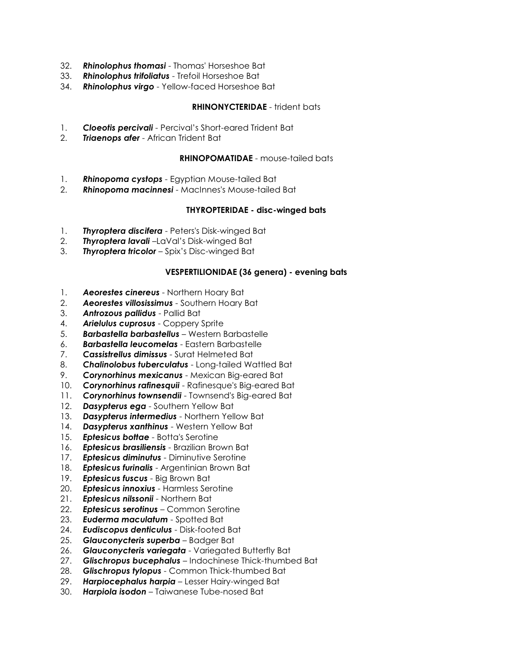- 32. *Rhinolophus thomasi* Thomas' Horseshoe Bat
- 33. *Rhinolophus trifoliatus* Trefoil Horseshoe Bat
- 34. *Rhinolophus virgo* Yellow-faced Horseshoe Bat

## **RHINONYCTERIDAE** - trident bats

- 1. *Cloeotis percivali* Percival's Short-eared Trident Bat
- 2. *Triaenops afer* African Trident Bat

# **RHINOPOMATIDAE** - mouse-tailed bats

- 1. *Rhinopoma cystops* Egyptian Mouse-tailed Bat
- 2. *Rhinopoma macinnesi* MacInnes's Mouse-tailed Bat

# **THYROPTERIDAE - disc-winged bats**

- 1. *Thyroptera discifera* Peters's Disk-winged Bat
- 2. *Thyroptera lavali* –LaVal's Disk-winged Bat
- 3. *Thyroptera tricolor* Spix's Disc-winged Bat

# **VESPERTILIONIDAE (36 genera) - evening bats**

- 1. *Aeorestes cinereus* Northern Hoary Bat
- 2. *Aeorestes villosissimus* Southern Hoary Bat
- 3. *Antrozous pallidus* Pallid Bat
- 4. *Arielulus cuprosus* Coppery Sprite
- 5. *Barbastella barbastellus* Western Barbastelle
- 6. *Barbastella leucomelas* Eastern Barbastelle
- 7. *Cassistrellus dimissus* Surat Helmeted Bat
- 8. *Chalinolobus tuberculatus* Long-tailed Wattled Bat
- 9. *Corynorhinus mexicanus* Mexican Big-eared Bat
- 10. *Corynorhinus rafinesquii* Rafinesque's Big-eared Bat
- 11. *Corynorhinus townsendii* Townsend's Big-eared Bat
- 12. *Dasypterus ega* Southern Yellow Bat
- 13. *Dasypterus intermedius* Northern Yellow Bat
- 14. *Dasypterus xanthinus* Western Yellow Bat
- 15. *Eptesicus bottae* Botta's Serotine
- 16. *Eptesicus brasiliensis* Brazilian Brown Bat
- 17. *Eptesicus diminutus* Diminutive Serotine
- 18. *Eptesicus furinalis* Argentinian Brown Bat
- 19. *Eptesicus fuscus* Big Brown Bat
- 20. *Eptesicus innoxius* Harmless Serotine
- 21. *Eptesicus nilssonii* Northern Bat
- 22. *Eptesicus serotinus* Common Serotine
- 23. *Euderma maculatum* Spotted Bat
- 24. *Eudiscopus denticulus* Disk-footed Bat
- 25. *Glauconycteris superba* Badger Bat
- 26. *Glauconycteris variegata* Variegated Butterfly Bat
- 27. *Glischropus bucephalus* Indochinese Thick-thumbed Bat
- 28. *Glischropus tylopus* Common Thick-thumbed Bat
- 29. *Harpiocephalus harpia* Lesser Hairy-winged Bat
- 30. *Harpiola isodon* Taiwanese Tube-nosed Bat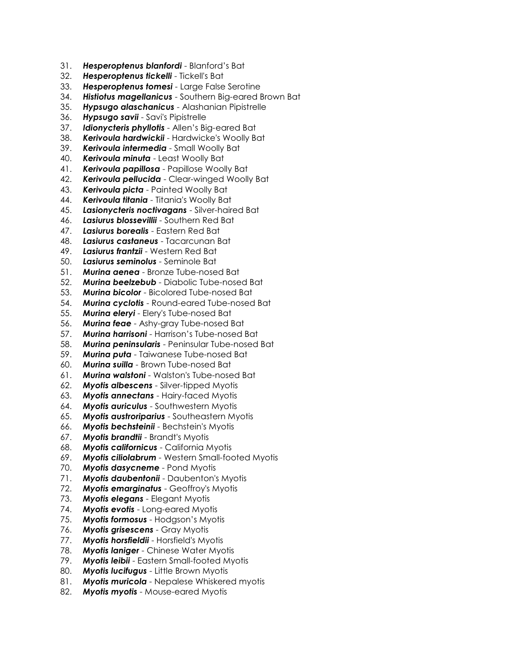- 31. *Hesperoptenus blanfordi* Blanford's Bat
- 32. *Hesperoptenus tickelli* Tickell's Bat
- 33. *Hesperoptenus tomesi* Large False Serotine
- 34. *Histiotus magellanicus* Southern Big-eared Brown Bat
- 35. *Hypsugo alaschanicus* Alashanian Pipistrelle
- 36. *Hypsugo savii* Savi's Pipistrelle
- 37. *Idionycteris phyllotis* Allen's Big-eared Bat
- 38. *Kerivoula hardwickii* Hardwicke's Woolly Bat
- 39. *Kerivoula intermedia* Small Woolly Bat
- 40. *Kerivoula minuta* Least Woolly Bat
- 41. *Kerivoula papillosa* Papillose Woolly Bat
- 42. *Kerivoula pellucida* Clear-winged Woolly Bat
- 43. *Kerivoula picta* Painted Woolly Bat
- 44. *Kerivoula titania* Titania's Woolly Bat
- 45. *Lasionycteris noctivagans* Silver-haired Bat
- 46. *Lasiurus blossevillii* Southern Red Bat
- 47. *Lasiurus borealis* Eastern Red Bat
- 48. *Lasiurus castaneus* Tacarcunan Bat
- 49. *Lasiurus frantzii* Western Red Bat
- 50. *Lasiurus seminolus* Seminole Bat
- 51. *Murina aenea* Bronze Tube-nosed Bat
- 52. *Murina beelzebub* Diabolic Tube-nosed Bat
- 53. *Murina bicolor* Bicolored Tube-nosed Bat
- 54. *Murina cyclotis* Round-eared Tube-nosed Bat
- 55. *Murina eleryi* Elery's Tube-nosed Bat
- 56. *Murina feae* Ashy-gray Tube-nosed Bat
- 57. *Murina harrisoni* Harrison's Tube-nosed Bat
- 58. *Murina peninsularis* Peninsular Tube-nosed Bat
- 59. *Murina puta* Taiwanese Tube-nosed Bat
- 60. *Murina suilla* Brown Tube-nosed Bat
- 61. *Murina walstoni* Walston's Tube-nosed Bat
- 62. *Myotis albescens* Silver-tipped Myotis
- 63. *Myotis annectans* Hairy-faced Myotis
- 64. *Myotis auriculus* Southwestern Myotis
- 65. *Myotis austroriparius* Southeastern Myotis
- 66. *Myotis bechsteinii* Bechstein's Myotis
- 67. *Myotis brandtii* Brandt's Myotis
- 68. *Myotis californicus* California Myotis
- 69. *Myotis ciliolabrum* Western Small-footed Myotis
- 70. *Myotis dasycneme* Pond Myotis
- 71. *Myotis daubentonii* Daubenton's Myotis
- 72. *Myotis emarginatus* Geoffroy's Myotis
- 73. *Myotis elegans* Elegant Myotis
- 74. *Myotis evotis* Long-eared Myotis
- 75. *Myotis formosus* Hodgson's Myotis
- 76. *Myotis grisescens* Gray Myotis
- 77. *Myotis horsfieldii* Horsfield's Myotis
- 78. *Myotis laniger* Chinese Water Myotis
- 79. *Myotis leibii* Eastern Small-footed Myotis
- 80. *Myotis lucifugus* Little Brown Myotis
- 81. *Myotis muricola* Nepalese Whiskered myotis
- 82. *Myotis myotis* Mouse-eared Myotis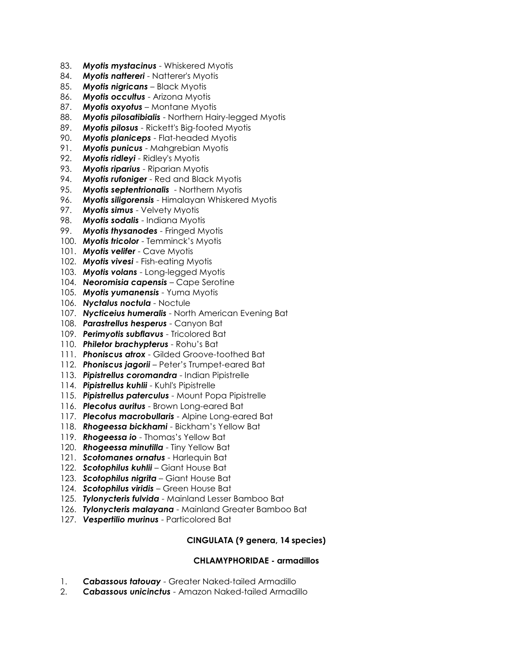- 83. *Myotis mystacinus* Whiskered Myotis
- 84. *Myotis nattereri* Natterer's Myotis
- 85. *Myotis nigricans* Black Myotis
- 86. *Myotis occultus* Arizona Myotis
- 87. *Myotis oxyotus* Montane Myotis
- 88. *Myotis pilosatibialis* Northern Hairy-legged Myotis
- 89. *Myotis pilosus* Rickett's Big-footed Myotis
- 90. *Myotis planiceps* Flat-headed Myotis
- 91. *Myotis punicus* Mahgrebian Myotis
- 92. *Myotis ridleyi* Ridley's Myotis
- 93. *Myotis riparius* Riparian Myotis
- 94. *Myotis rufoniger* Red and Black Myotis
- 95. *Myotis septentrionalis* Northern Myotis
- 96. *Myotis siligorensis* Himalayan Whiskered Myotis
- 97. *Myotis simus* Velvety Myotis
- 98. *Myotis sodalis* Indiana Myotis
- 99. *Myotis thysanodes* Fringed Myotis
- 100. *Myotis tricolor* Temminck's Myotis
- 101. *Myotis velifer* Cave Myotis
- 102. *Myotis vivesi* Fish-eating Myotis
- 103. *Myotis volans* Long-legged Myotis
- 104. *Neoromisia capensis* Cape Serotine
- 105. *Myotis yumanensis* Yuma Myotis
- 106. *Nyctalus noctula* Noctule
- 107. *Nycticeius humeralis* North American Evening Bat
- 108. *Parastrellus hesperus* Canyon Bat
- 109. *Perimyotis subflavus* Tricolored Bat
- 110. *Philetor brachypterus* Rohu's Bat
- 111. *Phoniscus atrox* Gilded Groove-toothed Bat
- 112. *Phoniscus jagorii* Peter's Trumpet-eared Bat
- 113. *Pipistrellus coromandra* Indian Pipistrelle
- 114. *Pipistrellus kuhlii* Kuhl's Pipistrelle
- 115. *Pipistrellus paterculus* Mount Popa Pipistrelle
- 116. *Plecotus auritus* Brown Long-eared Bat
- 117. *Plecotus macrobullaris* Alpine Long-eared Bat
- 118. *Rhogeessa bickhami* Bickham's Yellow Bat
- 119. *Rhogeessa io* Thomas's Yellow Bat
- 120. *Rhogeessa minutilla* Tiny Yellow Bat
- 121. *Scotomanes ornatus* Harlequin Bat
- 122. *Scotophilus kuhlii* Giant House Bat
- 123. *Scotophilus nigrita* Giant House Bat
- 124. *Scotophilus viridis* Green House Bat
- 125. *Tylonycteris fulvida* Mainland Lesser Bamboo Bat
- 126. *Tylonycteris malayana* Mainland Greater Bamboo Bat
- 127. *Vespertilio murinus* Particolored Bat

## **CINGULATA (9 genera, 14 species)**

#### **CHLAMYPHORIDAE - armadillos**

- 1. *Cabassous tatouay* Greater Naked-tailed Armadillo
- 2. *Cabassous unicinctus* Amazon Naked-tailed Armadillo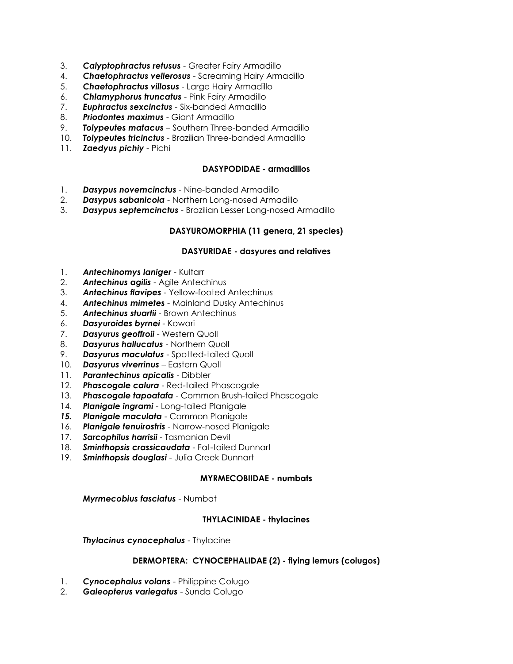- 3. *Calyptophractus retusus* Greater Fairy Armadillo
- 4. *Chaetophractus vellerosus* Screaming Hairy Armadillo
- 5. *Chaetophractus villosus* Large Hairy Armadillo
- 6. *Chlamyphorus truncatus* Pink Fairy Armadillo
- 7. *Euphractus sexcinctus* Six-banded Armadillo
- 8. *Priodontes maximus* Giant Armadillo
- 9. *Tolypeutes matacus* Southern Three-banded Armadillo
- 10. *Tolypeutes tricinctus* Brazilian Three-banded Armadillo
- 11. *Zaedyus pichiy* Pichi

### **DASYPODIDAE - armadillos**

- 1. *Dasypus novemcinctus* Nine-banded Armadillo
- 2. *Dasypus sabanicola* Northern Long-nosed Armadillo
- 3. *Dasypus septemcinctus* Brazilian Lesser Long-nosed Armadillo

### **DASYUROMORPHIA (11 genera, 21 species)**

#### **DASYURIDAE - dasyures and relatives**

- 1. **Antechinomys laniger** Kultarr
- 2. *Antechinus agilis* Agile Antechinus
- 3. *Antechinus flavipes* Yellow-footed Antechinus
- 4. *Antechinus mimetes* Mainland Dusky Antechinus
- 5. *Antechinus stuartii* Brown Antechinus
- 6. *Dasyuroides byrnei* Kowari
- 7. *Dasyurus geoffroii* Western Quoll
- 8. *Dasyurus hallucatus* Northern Quoll
- 9. *Dasyurus maculatus* Spotted-tailed Quoll
- 10. *Dasyurus viverrinus* Eastern Quoll
- 11. *Parantechinus apicalis* Dibbler
- 12. *Phascogale calura* Red-tailed Phascogale
- 13. *Phascogale tapoatafa* Common Brush-tailed Phascogale
- 14. *Planigale ingrami* Long-tailed Planigale
- *15. Planigale maculata* Common Planigale
- 16. *Planigale tenuirostris* Narrow-nosed Planigale
- 17. *Sarcophilus harrisii* Tasmanian Devil
- 18. *Sminthopsis crassicaudata* Fat-tailed Dunnart
- 19. *Sminthopsis douglasi* Julia Creek Dunnart

#### **MYRMECOBIIDAE - numbats**

*Myrmecobius fasciatus* - Numbat

#### **THYLACINIDAE - thylacines**

*Thylacinus cynocephalus* - Thylacine

#### **DERMOPTERA: CYNOCEPHALIDAE (2) - flying lemurs (colugos)**

- 1. *Cynocephalus volans* Philippine Colugo
- 2. *Galeopterus variegatus* Sunda Colugo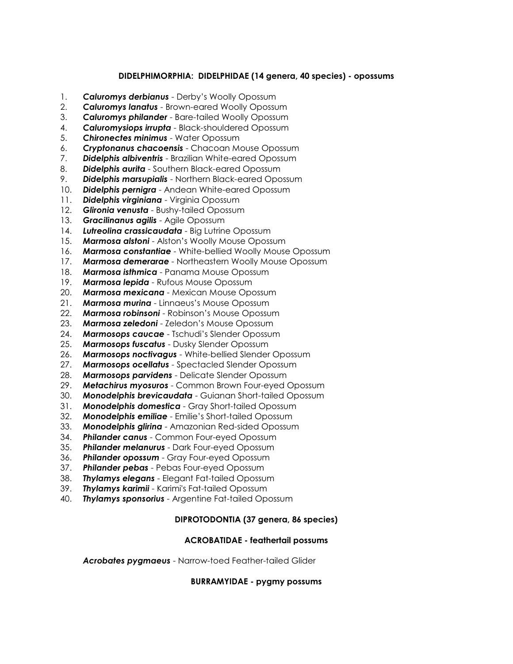## **DIDELPHIMORPHIA: DIDELPHIDAE (14 genera, 40 species) - opossums**

- 1. *Caluromys derbianus* Derby's Woolly Opossum
- 2. *Caluromys lanatus* Brown-eared Woolly Opossum
- 3. *Caluromys philander* Bare-tailed Woolly Opossum
- 4. *Caluromysiops irrupta* Black-shouldered Opossum
- 5. *Chironectes minimus* Water Opossum
- 6. *Cryptonanus chacoensis* Chacoan Mouse Opossum
- 7. *Didelphis albiventris* Brazilian White-eared Opossum
- 8. *Didelphis aurita* Southern Black-eared Opossum
- 9. *Didelphis marsupialis* Northern Black-eared Opossum
- 10. *Didelphis pernigra* Andean White-eared Opossum
- 11. *Didelphis virginiana* Virginia Opossum
- 12. *Glironia venusta* Bushy-tailed Opossum
- 13. *Gracilinanus agilis* Agile Opossum
- 14. *Lutreolina crassicaudata* Big Lutrine Opossum
- 15. *Marmosa alstoni* Alston's Woolly Mouse Opossum
- 16. *Marmosa constantiae* White-bellied Woolly Mouse Opossum
- 17. *Marmosa demerarae* Northeastern Woolly Mouse Opossum
- 18. *Marmosa isthmica* Panama Mouse Opossum
- 19. *Marmosa lepida* Rufous Mouse Opossum
- 20. *Marmosa mexicana* Mexican Mouse Opossum
- 21. *Marmosa murina* Linnaeus's Mouse Opossum
- 22. *Marmosa robinsoni* Robinson's Mouse Opossum
- 23. *Marmosa zeledoni* Zeledon's Mouse Opossum
- 24. *Marmosops caucae* Tschudi's Slender Opossum
- 25. *Marmosops fuscatus* Dusky Slender Opossum
- 26. *Marmosops noctivagus* White-bellied Slender Opossum
- 27. *Marmosops ocellatus* Spectacled Slender Opossum
- 28. *Marmosops parvidens* Delicate Slender Opossum
- 29. *Metachirus myosuros* Common Brown Four-eyed Opossum
- 30. *Monodelphis brevicaudata* Guianan Short-tailed Opossum
- 31. *Monodelphis domestica* Gray Short-tailed Opossum
- 32. *Monodelphis emiliae* Emilie's Short-tailed Opossum
- 33. *Monodelphis glirina* Amazonian Red-sided Opossum
- 34. *Philander canus* Common Four-eyed Opossum
- 35. *Philander melanurus* Dark Four-eyed Opossum
- 36. *Philander opossum* Gray Four-eyed Opossum
- 37. *Philander pebas* Pebas Four-eyed Opossum
- 38. *Thylamys elegans* Elegant Fat-tailed Opossum
- 39. *Thylamys karimii* Karimi's Fat-tailed Opossum
- 40. *Thylamys sponsorius* Argentine Fat-tailed Opossum

### **DIPROTODONTIA (37 genera, 86 species)**

### **ACROBATIDAE - feathertail possums**

*Acrobates pygmaeus* - Narrow-toed Feather-tailed Glider

### **BURRAMYIDAE - pygmy possums**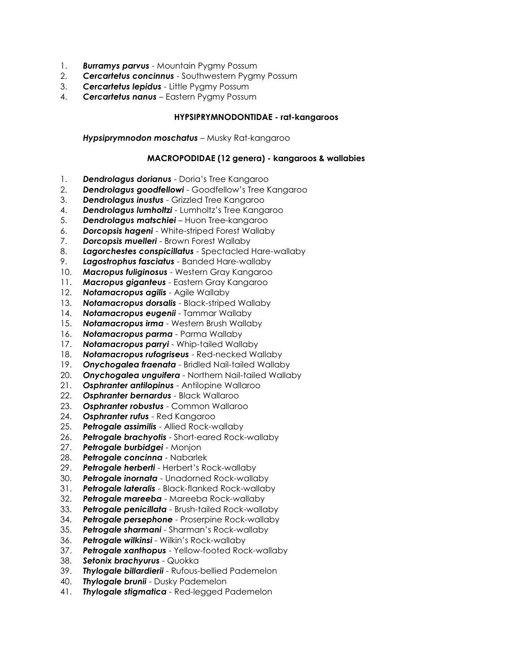- 1. *Burramys parvus* Mountain Pygmy Possum
- 2. *Cercartetus concinnus* Southwestern Pygmy Possum
- 3. *Cercartetus lepidus* Little Pygmy Possum
- 4. *Cercartetus nanus* Eastern Pygmy Possum

## **HYPSIPRYMNODONTIDAE - rat-kangaroos**

*Hypsiprymnodon moschatus* – Musky Rat-kangaroo

## **MACROPODIDAE (12 genera) - kangaroos & wallabies**

- 1. *Dendrolagus dorianus* Doria's Tree Kangaroo
- 2. *Dendrolagus goodfellowi* Goodfellow's Tree Kangaroo
- 3. *Dendrolagus inustus* Grizzled Tree Kangaroo
- 4. *Dendrolagus lumholtzi* Lumholtz's Tree Kangaroo
- 5. *Dendrolagus matschiei* Huon Tree-kangaroo
- 6. *Dorcopsis hageni* White-striped Forest Wallaby
- 7. *Dorcopsis muelleri* Brown Forest Wallaby
- 8. *Lagorchestes conspicillatus* Spectacled Hare-wallaby
- 9. *Lagostrophus fasciatus* Banded Hare-wallaby
- 10. *Macropus fuliginosus* Western Gray Kangaroo
- 11. *Macropus giganteus* Eastern Gray Kangaroo
- 12. *Notamacropus agilis* Agile Wallaby
- 13. *Notamacropus dorsalis* Black-striped Wallaby
- 14. *Notamacropus eugenii* Tammar Wallaby
- 15. *Notamacropus irma* Western Brush Wallaby
- 16. *Notamacropus parma* Parma Wallaby
- 17. *Notamacropus parryi* Whip-tailed Wallaby
- 18. *Notamacropus rufogriseus* Red-necked Wallaby
- 19. *Onychogalea fraenata* Bridled Nail-tailed Wallaby
- 20. *Onychogalea unguifera* Northern Nail-tailed Wallaby
- 21. *Osphranter antilopinus* Antilopine Wallaroo
- 22. *Osphranter bernardus* Black Wallaroo
- 23. *Osphranter robustus* Common Wallaroo
- 24. *Osphranter rufus* Red Kangaroo
- 25. *Petrogale assimilis* Allied Rock-wallaby
- 26. *Petrogale brachyotis* Short-eared Rock-wallaby
- 27. *Petrogale burbidgei* Monjon
- 28. *Petrogale concinna* Nabarlek
- 29. *Petrogale herberti* Herbert's Rock-wallaby
- 30. *Petrogale inornata* Unadorned Rock-wallaby
- 31. *Petrogale lateralis* Black-flanked Rock-wallaby
- 32. *Petrogale mareeba* Mareeba Rock-wallaby
- 33. *Petrogale penicillata* Brush-tailed Rock-wallaby
- 34. *Petrogale persephone* Proserpine Rock-wallaby
- 35. *Petrogale sharmani* Sharman's Rock-wallaby
- 36. *Petrogale wilkinsi* Wilkin's Rock-wallaby
- 37. *Petrogale xanthopus* Yellow-footed Rock-wallaby
- 38. *Setonix brachyurus* Quokka
- 39. *Thylogale billardierii* Rufous-bellied Pademelon
- 40. *Thylogale brunii* Dusky Pademelon
- 41. *Thylogale stigmatica* Red-legged Pademelon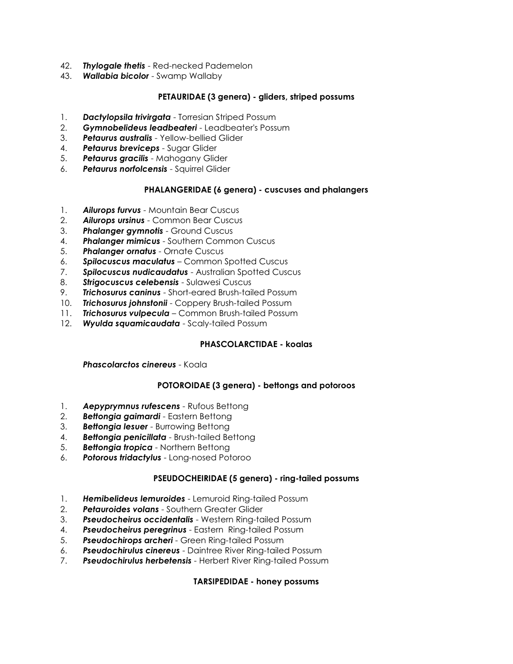- 42. *Thylogale thetis* Red-necked Pademelon
- 43. *Wallabia bicolor* Swamp Wallaby

# **PETAURIDAE (3 genera) - gliders, striped possums**

- 1. *Dactylopsila trivirgata* Torresian Striped Possum
- 2. *Gymnobelideus leadbeateri* Leadbeater's Possum
- 3. *Petaurus australis* Yellow-bellied Glider
- 4. *Petaurus breviceps* Sugar Glider
- 5. *Petaurus gracilis* Mahogany Glider
- 6. *Petaurus norfolcensis* Squirrel Glider

# **PHALANGERIDAE (6 genera) - cuscuses and phalangers**

- 1. *Ailurops furvus* Mountain Bear Cuscus
- 2. *Ailurops ursinus* Common Bear Cuscus
- 3. *Phalanger gymnotis* Ground Cuscus
- 4. *Phalanger mimicus* Southern Common Cuscus
- 5. *Phalanger ornatus* Ornate Cuscus
- 6. *Spilocuscus maculatus* Common Spotted Cuscus
- 7. *Spilocuscus nudicaudatus* Australian Spotted Cuscus
- 8. *Strigocuscus celebensis* Sulawesi Cuscus
- 9. *Trichosurus caninus* Short-eared Brush-tailed Possum
- 10. *Trichosurus johnstonii* Coppery Brush-tailed Possum
- 11. *Trichosurus vulpecula* Common Brush-tailed Possum
- 12. *Wyulda squamicaudata* Scaly-tailed Possum

# **PHASCOLARCTIDAE - koalas**

*Phascolarctos cinereus* - Koala

# **POTOROIDAE (3 genera) - bettongs and potoroos**

- 1. *Aepyprymnus rufescens* Rufous Bettong
- 2. *Bettongia gaimardi* Eastern Bettong
- 3. *Bettongia lesuer* Burrowing Bettong
- 4. *Bettongia penicillata* Brush-tailed Bettong
- 5. *Bettongia tropica* Northern Bettong
- 6. *Potorous tridactylus* Long-nosed Potoroo

# **PSEUDOCHEIRIDAE (5 genera) - ring-tailed possums**

- 1. *Hemibelideus lemuroides* Lemuroid Ring-tailed Possum
- 2. *Petauroides volans* Southern Greater Glider
- 3. *Pseudocheirus occidentalis* Western Ring-tailed Possum
- 4. *Pseudocheirus peregrinus* Eastern Ring-tailed Possum
- 5. *Pseudochirops archeri* Green Ring-tailed Possum
- 6. *Pseudochirulus cinereus* Daintree River Ring-tailed Possum
- 7. *Pseudochirulus herbetensis* Herbert River Ring-tailed Possum

### **TARSIPEDIDAE - honey possums**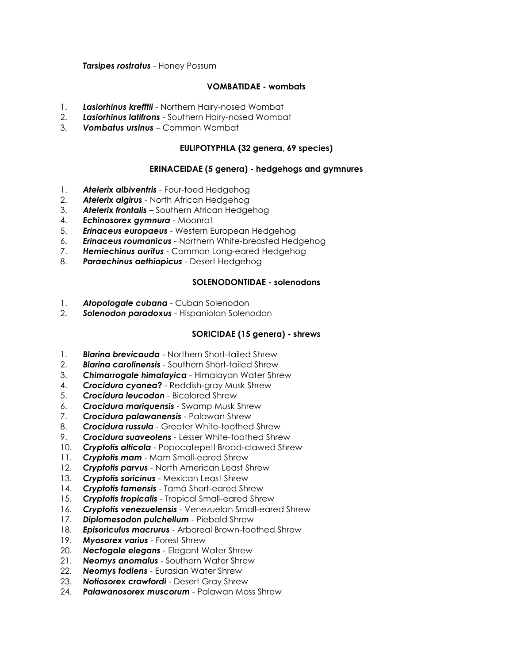### *Tarsipes rostratus* - Honey Possum

### **VOMBATIDAE - wombats**

- 1. *Lasiorhinus krefftii* Northern Hairy-nosed Wombat
- 2. *Lasiorhinus latifrons* Southern Hairy-nosed Wombat
- 3. *Vombatus ursinus* Common Wombat

### **EULIPOTYPHLA (32 genera, 69 species)**

### **ERINACEIDAE (5 genera) - hedgehogs and gymnures**

- 1. *Atelerix albiventris* Four-toed Hedgehog
- 2. *Atelerix algirus* North African Hedgehog
- 3. *Atelerix frontalis* Southern African Hedgehog
- 4. *Echinosorex gymnura* Moonrat
- 5. *Erinaceus europaeus* Western European Hedgehog
- 6. *Erinaceus roumanicus* Northern White-breasted Hedgehog
- 7. *Hemiechinus auritus* Common Long-eared Hedgehog
- 8. *Paraechinus aethiopicus* Desert Hedgehog

### **SOLENODONTIDAE - solenodons**

- 1. *Atopologale cubana* Cuban Solenodon
- 2. *Solenodon paradoxus* Hispaniolan Solenodon

### **SORICIDAE (15 genera) - shrews**

- 1. *Blarina brevicauda* Northern Short-tailed Shrew
- 2. *Blarina carolinensis* Southern Short-tailed Shrew
- 3. *Chimarrogale himalayica* Himalayan Water Shrew
- 4. *Crocidura cyanea***?** Reddish-gray Musk Shrew
- 5. *Crocidura leucodon* Bicolored Shrew
- 6. *Crocidura mariquensis* Swamp Musk Shrew
- 7. *Crocidura palawanensis* Palawan Shrew
- 8. *Crocidura russula* Greater White-toothed Shrew
- 9. *Crocidura suaveolens* Lesser White-toothed Shrew
- 10. *Cryptotis alticola* Popocatepetl Broad-clawed Shrew
- 11. *Cryptotis mam* Mam Small-eared Shrew
- 12. *Cryptotis parvus* North American Least Shrew
- 13. *Cryptotis soricinus* Mexican Least Shrew
- 14. *Cryptotis tamensis* Tamá Short-eared Shrew
- 15. *Cryptotis tropicalis* Tropical Small-eared Shrew
- 16. *Cryptotis venezuelensis* Venezuelan Small-eared Shrew
- 17. *Diplomesodon pulchellum* Piebald Shrew
- 18. *Episoriculus macrurus* Arboreal Brown-toothed Shrew
- 19. *Myosorex varius* Forest Shrew
- 20. *Nectogale elegans* Elegant Water Shrew
- 21. *Neomys anomalus* Southern Water Shrew
- 22. *Neomys fodiens* Eurasian Water Shrew
- 23. *Notiosorex crawfordi* Desert Gray Shrew
- 24. *Palawanosorex muscorum* Palawan Moss Shrew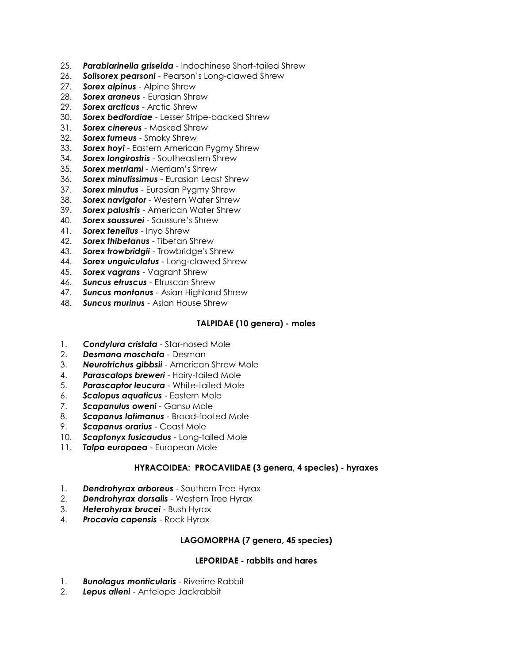- 25. *Parablarinella griselda* Indochinese Short-tailed Shrew
- 26. *Solisorex pearsoni* Pearson's Long-clawed Shrew
- 27. *Sorex alpinus* Alpine Shrew
- 28. *Sorex araneus* Eurasian Shrew
- 29. *Sorex arcticus* Arctic Shrew
- 30. *Sorex bedfordiae* Lesser Stripe-backed Shrew
- 31. *Sorex cinereus* Masked Shrew
- 32. *Sorex fumeus* Smoky Shrew
- 33. *Sorex hoyi* Eastern American Pygmy Shrew
- 34. *Sorex longirostris* Southeastern Shrew
- 35. *Sorex merriami* Merriam's Shrew
- 36. *Sorex minutissimus* Eurasian Least Shrew
- 37. *Sorex minutus* Eurasian Pygmy Shrew
- 38. *Sorex navigator* Western Water Shrew
- 39. *Sorex palustris* American Water Shrew
- 40. *Sorex saussurei* Saussure's Shrew
- 41. *Sorex tenellus* Inyo Shrew
- 42. *Sorex thibetanus* Tibetan Shrew
- 43. *Sorex trowbridgii* Trowbridge's Shrew
- 44. *Sorex unguiculatus* Long-clawed Shrew
- 45. *Sorex vagrans* Vagrant Shrew
- 46. *Suncus etruscus* Etruscan Shrew
- 47. *Suncus montanus* Asian Highland Shrew
- 48. *Suncus murinus* Asian House Shrew

### **TALPIDAE (10 genera) - moles**

- 1. *Condylura cristata* Star-nosed Mole
- 2. *Desmana moschata* Desman
- 3. *Neurotrichus gibbsii* American Shrew Mole
- 4. *Parascalops breweri* Hairy-tailed Mole
- 5. *Parascaptor leucura* White-tailed Mole
- 6. *Scalopus aquaticus* Eastern Mole
- 7. *Scapanulus oweni* Gansu Mole
- 8. *Scapanus latimanus* Broad-footed Mole
- 9. *Scapanus orarius* Coast Mole
- 10. *Scaptonyx fusicaudus* Long-tailed Mole
- 11. *Talpa europaea* European Mole

### **HYRACOIDEA: PROCAVIIDAE (3 genera, 4 species) - hyraxes**

- 1. *Dendrohyrax arboreus* Southern Tree Hyrax
- 2. *Dendrohyrax dorsalis* Western Tree Hyrax
- 3. *Heterohyrax brucei* Bush Hyrax
- 4. *Procavia capensis* Rock Hyrax

### **LAGOMORPHA (7 genera, 45 species)**

#### **LEPORIDAE - rabbits and hares**

- 1. *Bunolagus monticularis* Riverine Rabbit
- 2. *Lepus alleni* Antelope Jackrabbit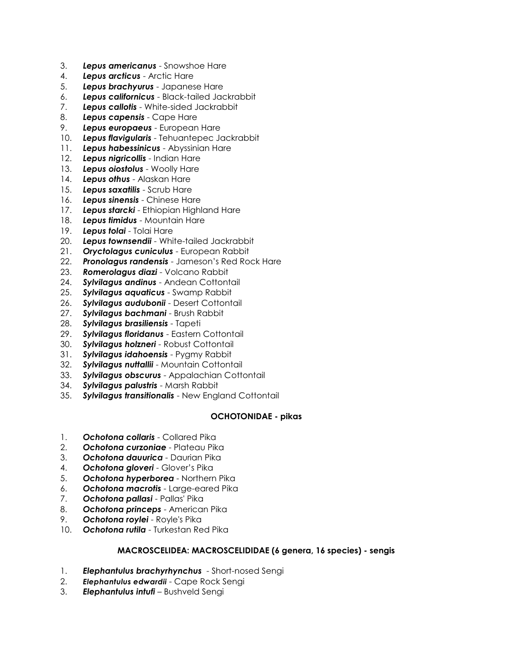- 3. *Lepus americanus* Snowshoe Hare
- 4. *Lepus arcticus* Arctic Hare
- 5. *Lepus brachyurus* Japanese Hare
- 6. *Lepus californicus* Black-tailed Jackrabbit
- 7. *Lepus callotis* White-sided Jackrabbit
- 8. *Lepus capensis* Cape Hare
- 9. *Lepus europaeus* European Hare
- 10. *Lepus flavigularis* Tehuantepec Jackrabbit
- 11. *Lepus habessinicus* Abyssinian Hare
- 12. *Lepus nigricollis* Indian Hare
- 13. *Lepus oiostolus* Woolly Hare
- 14. *Lepus othus* Alaskan Hare
- 15. *Lepus saxatilis* Scrub Hare
- 16. *Lepus sinensis* Chinese Hare
- 17. *Lepus starcki* Ethiopian Highland Hare
- 18. *Lepus timidus* Mountain Hare
- 19. *Lepus tolai* Tolai Hare
- 20. *Lepus townsendii* White-tailed Jackrabbit
- 21. *Oryctolagus cuniculus* European Rabbit
- 22. *Pronolagus randensis* Jameson's Red Rock Hare
- 23. *Romerolagus diazi* Volcano Rabbit
- 24. *Sylvilagus andinus* Andean Cottontail
- 25. *Sylvilagus aquaticus* Swamp Rabbit
- 26. *Sylvilagus audubonii* Desert Cottontail
- 27. *Sylvilagus bachmani* Brush Rabbit
- 28. *Sylvilagus brasiliensis* Tapeti
- 29. *Sylvilagus floridanus* Eastern Cottontail
- 30. *Sylvilagus holzneri* Robust Cottontail
- 31. *Sylvilagus idahoensis* Pygmy Rabbit
- 32. *Sylvilagus nuttallii* Mountain Cottontail
- 33. *Sylvilagus obscurus* Appalachian Cottontail
- 34. *Sylvilagus palustris* Marsh Rabbit
- 35. *Sylvilagus transitionalis* New England Cottontail

#### **OCHOTONIDAE - pikas**

- 1. *Ochotona collaris* Collared Pika
- 2. *Ochotona curzoniae* Plateau Pika
- 3. *Ochotona dauurica* Daurian Pika
- 4. *Ochotona gloveri* Glover's Pika
- 5. *Ochotona hyperborea* Northern Pika
- 6. *Ochotona macrotis* Large-eared Pika
- 7. *Ochotona pallasi* Pallas' Pika
- 8. *Ochotona princeps* American Pika
- 9. *Ochotona roylei* Royle's Pika
- 10. *Ochotona rutila* Turkestan Red Pika

### **MACROSCELIDEA: MACROSCELIDIDAE (6 genera, 16 species) - sengis**

- 1. *Elephantulus brachyrhynchus* Short-nosed Sengi
- 2. *Elephantulus edwardii* Cape Rock Sengi
- 3. *Elephantulus intufi* Bushveld Sengi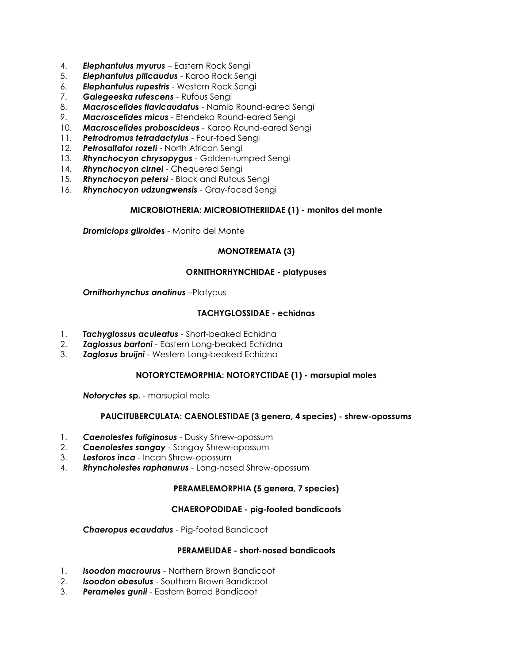- 4. *Elephantulus myurus* Eastern Rock Sengi
- 5. *Elephantulus pilicaudus* Karoo Rock Sengi
- 6. *Elephantulus rupestris* Western Rock Sengi
- 7. *Galegeeska rufescens* Rufous Sengi
- 8. *Macroscelides flavicaudatus* Namib Round-eared Sengi
- 9. *Macroscelides micus* Etendeka Round-eared Sengi
- 10. *Macroscelides proboscideus* Karoo Round-eared Sengi
- 11. *Petrodromus tetradactylus* Four-toed Sengi
- 12. *Petrosaltator rozeti* North African Sengi
- 13. *Rhynchocyon chrysopygus* Golden-rumped Sengi
- 14. *Rhynchocyon cirnei* Chequered Sengi
- 15. *Rhynchocyon petersi* Black and Rufous Sengi
- 16. *Rhynchocyon udzungwensis* Gray-faced Sengi

# **MICROBIOTHERIA: MICROBIOTHERIIDAE (1) - monitos del monte**

*Dromiciops gliroides* - Monito del Monte

# **MONOTREMATA (3)**

### **ORNITHORHYNCHIDAE - platypuses**

### *Ornithorhynchus anatinus* –Platypus

# **TACHYGLOSSIDAE - echidnas**

- 1. *Tachyglossus aculeatus* Short-beaked Echidna
- 2. *Zaglossus bartoni* Eastern Long-beaked Echidna
- 3. *Zaglosus bruijni* Western Long-beaked Echidna

### **NOTORYCTEMORPHIA: NOTORYCTIDAE (1) - marsupial moles**

*Notoryctes* **sp.** - marsupial mole

### **PAUCITUBERCULATA: CAENOLESTIDAE (3 genera, 4 species) - shrew-opossums**

- 1. *Caenolestes fuliginosus* Dusky Shrew-opossum
- 2. *Caenolestes sangay* Sangay Shrew-opossum
- 3. *Lestoros inca* Incan Shrew-opossum
- 4. *Rhyncholestes raphanurus* Long-nosed Shrew-opossum

### **PERAMELEMORPHIA (5 genera, 7 species)**

### **CHAEROPODIDAE - pig-footed bandicoots**

*Chaeropus ecaudatus* - Pig-footed Bandicoot

## **PERAMELIDAE - short-nosed bandicoots**

- 1. *Isoodon macrourus* Northern Brown Bandicoot
- 2. *Isoodon obesulus* Southern Brown Bandicoot
- 3. *Perameles gunii* Eastern Barred Bandicoot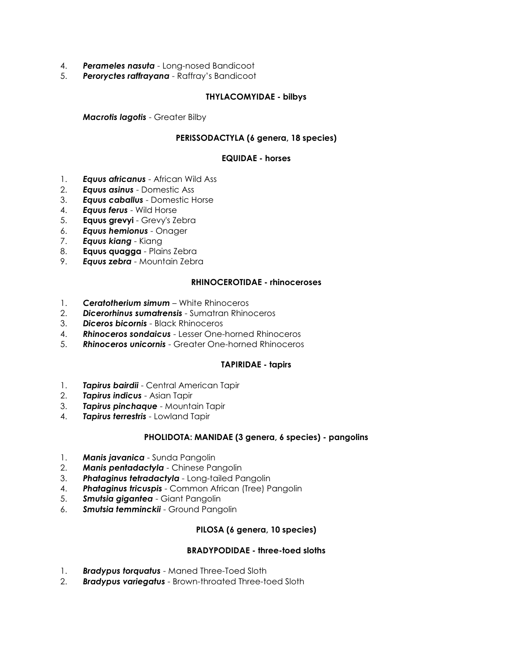- 4. *Perameles nasuta* Long-nosed Bandicoot
- 5. *Peroryctes raffrayana* Raffray's Bandicoot

# **THYLACOMYIDAE - bilbys**

*Macrotis lagotis* - Greater Bilby

# **PERISSODACTYLA (6 genera, 18 species)**

### **EQUIDAE - horses**

- 1. *Equus africanus* African Wild Ass
- 2. *Equus asinus* Domestic Ass
- 3. *Equus caballus* Domestic Horse
- 4. *Equus ferus* Wild Horse
- 5. **Equus grevyi** Grevy's Zebra
- 6. *Equus hemionus* Onager
- 7. *Equus kiang* Kiang
- 8. **Equus quagga** Plains Zebra
- 9. *Equus zebra* Mountain Zebra

### **RHINOCEROTIDAE - rhinoceroses**

- 1. *Ceratotherium simum* White Rhinoceros
- 2. *Dicerorhinus sumatrensis* Sumatran Rhinoceros
- 3. *Diceros bicornis* Black Rhinoceros
- 4. *Rhinoceros sondaicus* Lesser One-horned Rhinoceros
- 5. *Rhinoceros unicornis* Greater One-horned Rhinoceros

### **TAPIRIDAE - tapirs**

- 1. *Tapirus bairdii* Central American Tapir
- 2. *Tapirus indicus* Asian Tapir
- 3. *Tapirus pinchaque* Mountain Tapir
- 4. *Tapirus terrestris* Lowland Tapir

### **PHOLIDOTA: MANIDAE (3 genera, 6 species) - pangolins**

- 1. *Manis javanica* Sunda Pangolin
- 2. *Manis pentadactyla* Chinese Pangolin
- 3. *Phataginus tetradactyla* Long-tailed Pangolin
- 4. *Phataginus tricuspis* Common African (Tree) Pangolin
- 5. *Smutsia gigantea* Giant Pangolin
- 6. *Smutsia temminckii* Ground Pangolin

### **PILOSA (6 genera, 10 species)**

### **BRADYPODIDAE - three-toed sloths**

- 1. *Bradypus torquatus* Maned Three-Toed Sloth
- 2. *Bradypus variegatus* Brown-throated Three-toed Sloth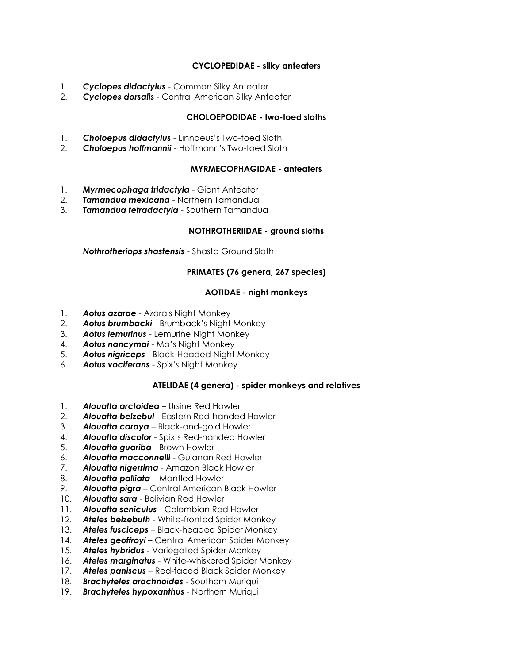## **CYCLOPEDIDAE - silky anteaters**

- 1. *Cyclopes didactylus* Common Silky Anteater
- 2. *Cyclopes dorsalis* Central American Silky Anteater

# **CHOLOEPODIDAE - two-toed sloths**

- 1. *Choloepus didactylus* Linnaeus's Two-toed Sloth
- 2. *Choloepus hoffmannii* Hoffmann's Two-toed Sloth

## **MYRMECOPHAGIDAE - anteaters**

- 1. *Myrmecophaga tridactyla* Giant Anteater
- 2. *Tamandua mexicana* Northern Tamandua
- 3. *Tamandua tetradactyla* Southern Tamandua

# **NOTHROTHERIIDAE - ground sloths**

*Nothrotheriops shastensis* - Shasta Ground Sloth

# **PRIMATES (76 genera, 267 species)**

# **AOTIDAE - night monkeys**

- 1. *Aotus azarae* Azara's Night Monkey
- 2. *Aotus brumbacki* Brumback's Night Monkey
- 3. *Aotus lemurinus* Lemurine Night Monkey
- 4. *Aotus nancymai* Ma's Night Monkey
- 5. *Aotus nigriceps* Black-Headed Night Monkey
- 6. *Aotus vociferans* Spix's Night Monkey

# **ATELIDAE (4 genera) - spider monkeys and relatives**

- 1. *Alouatta arctoidea* Ursine Red Howler
- 2. *Alouatta belzebul* Eastern Red-handed Howler
- 3. *Alouatta caraya* Black-and-gold Howler
- 4. *Alouatta discolor* Spix's Red-handed Howler
- 5. *Alouatta guariba* Brown Howler
- 6. *Alouatta macconnelli* Guianan Red Howler
- 7. *Alouatta nigerrima* Amazon Black Howler
- 8. *Alouatta palliata* Mantled Howler
- 9. *Alouatta pigra* Central American Black Howler
- 10. *Alouatta sara* Bolivian Red Howler
- 11. *Alouatta seniculus* Colombian Red Howler
- 12. *Ateles belzebuth* White-fronted Spider Monkey
- 13. *Ateles fusciceps* Black-headed Spider Monkey
- 14. *Ateles geoffroyi* Central American Spider Monkey
- 15. *Ateles hybridus* Variegated Spider Monkey
- 16. *Ateles marginatus* White-whiskered Spider Monkey
- 17. *Ateles paniscus* Red-faced Black Spider Monkey
- 18. *Brachyteles arachnoides* Southern Muriqui
- 19. *Brachyteles hypoxanthus* Northern Muriqui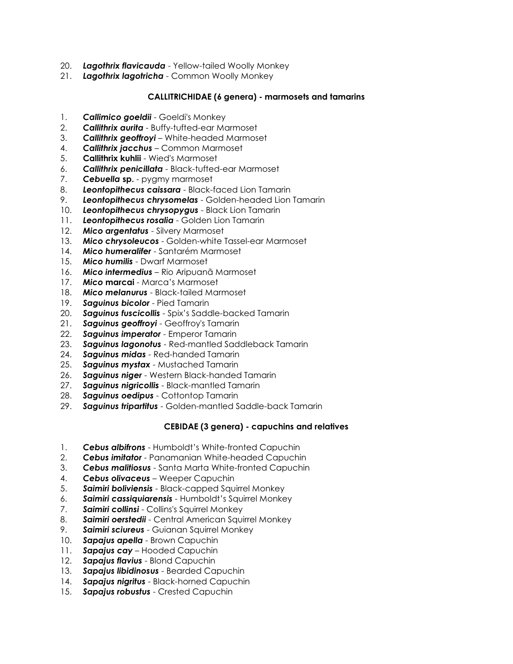- 20. *Lagothrix flavicauda* Yellow-tailed Woolly Monkey
- 21. *Lagothrix lagotricha* Common Woolly Monkey

# **CALLITRICHIDAE (6 genera) - marmosets and tamarins**

- 1. *Callimico goeldii* Goeldi's Monkey
- 2. *Callithrix aurita* Buffy-tufted-ear Marmoset
- 3. *Callithrix geoffroyi* White-headed Marmoset
- 4. *Callithrix jacchus* Common Marmoset
- 5. **Callithrix kuhlii** Wied's Marmoset
- 6. *Callithrix penicillata* Black-tufted-ear Marmoset
- 7. *Cebuella* **sp.** pygmy marmoset
- 8. *Leontopithecus caissara* Black-faced Lion Tamarin
- 9. *Leontopithecus chrysomelas* Golden-headed Lion Tamarin
- 10. *Leontopithecus chrysopygus* Black Lion Tamarin
- 11. *Leontopithecus rosalia* Golden Lion Tamarin
- 12. *Mico argentatus* Silvery Marmoset
- 13. *Mico chrysoleucos* Golden-white Tassel-ear Marmoset
- 14. *Mico humeralifer* Santarém Marmoset
- 15. *Mico humilis* Dwarf Marmoset
- 16. *Mico intermedius* Rio Aripuanã Marmoset
- 17. *Mico* **marcai** Marca's Marmoset
- 18. *Mico melanurus* Black-tailed Marmoset
- 19. *Saguinus bicolor* Pied Tamarin
- 20. *Saguinus fuscicollis* Spix's Saddle-backed Tamarin
- 21. *Saguinus geoffroyi* Geoffroy's Tamarin
- 22. *Saguinus imperator* Emperor Tamarin
- 23. *Saguinus lagonotus* Red-mantled Saddleback Tamarin
- 24. *Saguinus midas* Red-handed Tamarin
- 25. *Saguinus mystax* Mustached Tamarin
- 26. *Saguinus niger* Western Black-handed Tamarin
- 27. *Saguinus nigricollis* Black-mantled Tamarin
- 28. *Saguinus oedipus* Cottontop Tamarin
- 29. *Saguinus tripartitus* Golden-mantled Saddle-back Tamarin

# **CEBIDAE (3 genera) - capuchins and relatives**

- 1. *Cebus albifrons* Humboldt's White-fronted Capuchin
- 2. *Cebus imitator* Panamanian White-headed Capuchin
- 3. *Cebus malitiosus* Santa Marta White-fronted Capuchin
- 4. *Cebus olivaceus* Weeper Capuchin
- 5. *Saimiri boliviensis* Black-capped Squirrel Monkey
- 6. *Saimiri cassiquiarensis* Humboldt's Squirrel Monkey
- 7. *Saimiri collinsi* Collins's Squirrel Monkey
- 8. *Saimiri oerstedii* Central American Squirrel Monkey
- 9. *Saimiri sciureus* Guianan Squirrel Monkey
- 10. *Sapajus apella* Brown Capuchin
- 11. *Sapajus cay* Hooded Capuchin
- 12. *Sapajus flavius* Blond Capuchin
- 13. *Sapajus libidinosus* Bearded Capuchin
- 14. *Sapajus nigritus* Black-horned Capuchin
- 15. *Sapajus robustus* Crested Capuchin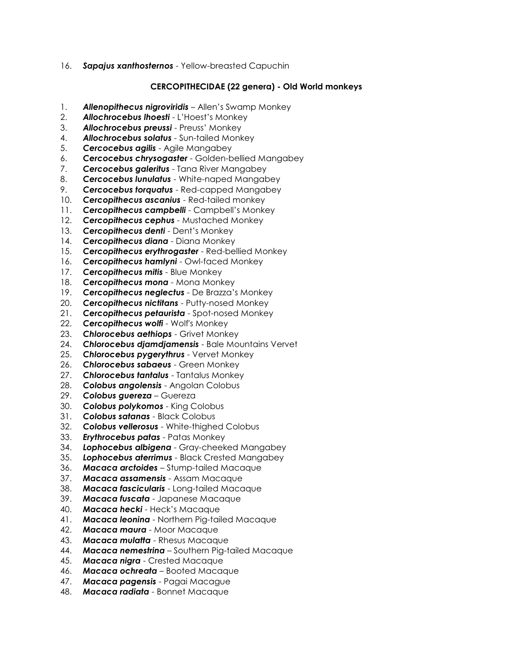16. *Sapajus xanthosternos* - Yellow-breasted Capuchin

### **CERCOPITHECIDAE (22 genera) - Old World monkeys**

- 1. *Allenopithecus nigroviridis* Allen's Swamp Monkey
- 2. *Allochrocebus lhoesti* L'Hoest's Monkey
- 3. *Allochrocebus preussi* Preuss' Monkey
- 4. *Allochrocebus solatus* Sun-tailed Monkey
- 5. *Cercocebus agilis* Agile Mangabey
- 6. *Cercocebus chrysogaster* Golden-bellied Mangabey
- 7. *Cercocebus galeritus* Tana River Mangabey
- 8. *Cercocebus lunulatus* White-naped Mangabey
- 9. *Cercocebus torquatus* Red-capped Mangabey
- 10. *Cercopithecus ascanius* Red-tailed monkey
- 11. *Cercopithecus campbelli* Campbell's Monkey
- 12. *Cercopithecus cephus* Mustached Monkey
- 13. *Cercopithecus denti* Dent's Monkey
- 14. *Cercopithecus diana* Diana Monkey
- 15. *Cercopithecus erythrogaster* Red-bellied Monkey
- 16. *Cercopithecus hamlyni*  Owl-faced Monkey
- 17. *Cercopithecus mitis* Blue Monkey
- 18. *Cercopithecus mona* Mona Monkey
- 19. *Cercopithecus neglectus* De Brazza's Monkey
- 20. *Cercopithecus nictitans* Putty-nosed Monkey
- 21. *Cercopithecus petaurista* Spot-nosed Monkey
- 22. *Cercopithecus wolfi* Wolf's Monkey
- 23. *Chlorocebus aethiops* Grivet Monkey
- 24. *Chlorocebus djamdjamensis* Bale Mountains Vervet
- 25. *Chlorocebus pygerythrus* Vervet Monkey
- 26. *Chlorocebus sabaeus* Green Monkey
- 27. *Chlorocebus tantalus* Tantalus Monkey
- 28. *Colobus angolensis* Angolan Colobus
- 29. *Colobus guereza* Guereza
- 30. *Colobus polykomos* King Colobus
- 31. *Colobus satanas* Black Colobus
- 32. *Colobus vellerosus* White-thighed Colobus
- 33. *Erythrocebus patas* Patas Monkey
- 34. *Lophocebus albigena* Gray-cheeked Mangabey
- 35. *Lophocebus aterrimus* Black Crested Mangabey
- 36. *Macaca arctoides* Stump-tailed Macaque
- 37. *Macaca assamensis* Assam Macaque
- 38. *Macaca fascicularis* Long-tailed Macaque
- 39. *Macaca fuscata* Japanese Macaque
- 40. *Macaca hecki* Heck's Macaque
- 41. *Macaca leonina* Northern Pig-tailed Macaque
- 42. *Macaca maura* Moor Macaque
- 43. *Macaca mulatta* Rhesus Macaque
- 44. *Macaca nemestrina* Southern Pig-tailed Macaque
- 45. *Macaca nigra* Crested Macaque
- 46. *Macaca ochreata* Booted Macaque
- 47. *Macaca pagensis* Pagai Macague
- 48. *Macaca radiata* Bonnet Macaque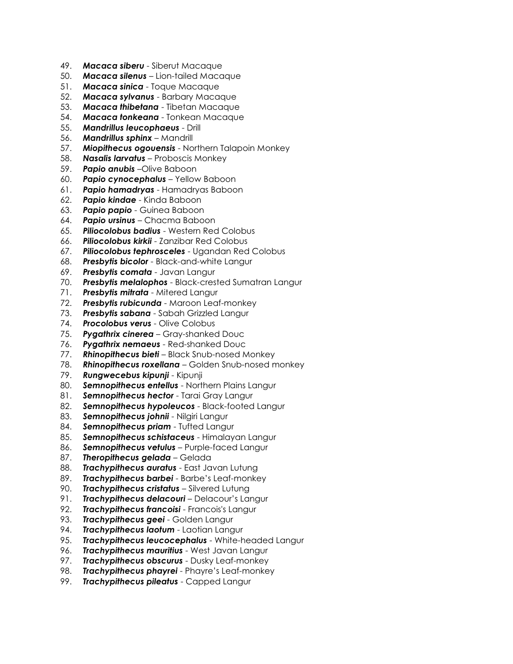- 49. *Macaca siberu* Siberut Macaque
- 50. *Macaca silenus* Lion-tailed Macaque
- 51. *Macaca sinica* Toque Macaque
- 52. *Macaca sylvanus* Barbary Macaque
- 53. *Macaca thibetana* Tibetan Macaque
- 54. *Macaca tonkeana* Tonkean Macaque
- 55. *Mandrillus leucophaeus* Drill
- 56. *Mandrillus sphinx* Mandrill
- 57. *Miopithecus ogouensis* Northern Talapoin Monkey
- 58. *Nasalis larvatus* Proboscis Monkey
- 59. *Papio anubis* –Olive Baboon
- 60. *Papio cynocephalus* Yellow Baboon
- 61. *Papio hamadryas* Hamadryas Baboon
- 62. *Papio kindae* Kinda Baboon
- 63. *Papio papio* Guinea Baboon
- 64. *Papio ursinus* Chacma Baboon
- 65. *Piliocolobus badius* Western Red Colobus
- 66. *Piliocolobus kirkii* Zanzibar Red Colobus
- 67. *Piliocolobus tephrosceles* Ugandan Red Colobus
- 68. *Presbytis bicolor* Black-and-white Langur
- 69. *Presbytis comata* Javan Langur
- 70. *Presbytis melalophos* Black-crested Sumatran Langur
- 71. *Presbytis mitrata* Mitered Langur
- 72. *Presbytis rubicunda* Maroon Leaf-monkey
- 73. *Presbytis sabana* Sabah Grizzled Langur
- 74. *Procolobus verus* Olive Colobus
- 75. *Pygathrix cinerea* Gray-shanked Douc
- 76. *Pygathrix nemaeus* Red-shanked Douc
- 77. *Rhinopithecus bieti* Black Snub-nosed Monkey
- 78. *Rhinopithecus roxellana* Golden Snub-nosed monkey
- 79. *Rungwecebus kipunji* Kipunji
- 80. *Semnopithecus entellus* Northern Plains Langur
- 81. *Semnopithecus hector* Tarai Gray Langur
- 82. *Semnopithecus hypoleucos* Black-footed Langur
- 83. *Semnopithecus johnii* Nilgiri Langur
- 84. **Semnopithecus priam** Tufted Langur
- 85. *Semnopithecus schistaceus* Himalayan Langur
- 86. *Semnopithecus vetulus* Purple-faced Langur
- 87. *Theropithecus gelada* Gelada
- 88. *Trachypithecus auratus* East Javan Lutung
- 89. *Trachypithecus barbei* Barbe's Leaf-monkey
- 90. *Trachypithecus cristatus* Silvered Lutung
- 91. *Trachypithecus delacouri* Delacour's Langur
- 92. *Trachypithecus francoisi* Francois's Langur
- 93. *Trachypithecus geei* Golden Langur
- 94. *Trachypithecus laotum* Laotian Langur
- 95. *Trachypithecus leucocephalus* White-headed Langur
- 96. *Trachypithecus mauritius* West Javan Langur
- 97. *Trachypithecus obscurus* Dusky Leaf-monkey
- 98. *Trachypithecus phayrei* Phayre's Leaf-monkey
- 99. *Trachypithecus pileatus* Capped Langur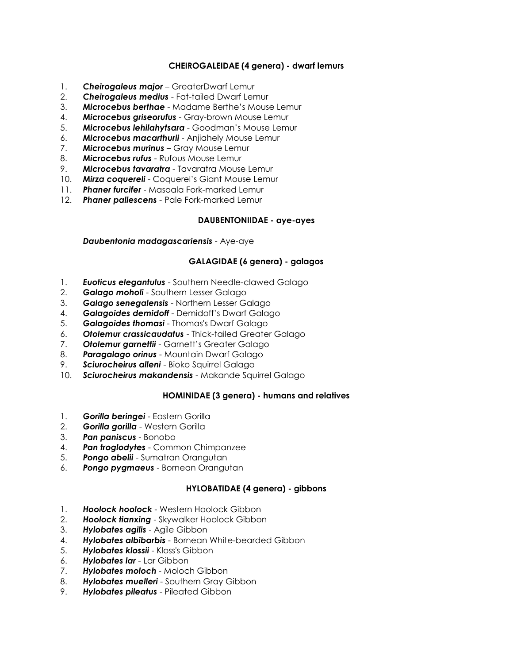# **CHEIROGALEIDAE (4 genera) - dwarf lemurs**

- 1. *Cheirogaleus major* GreaterDwarf Lemur
- 2. *Cheirogaleus medius* Fat-tailed Dwarf Lemur
- 3. *Microcebus berthae* Madame Berthe's Mouse Lemur
- 4. *Microcebus griseorufus* Gray-brown Mouse Lemur
- 5. *Microcebus lehilahytsara* Goodman's Mouse Lemur
- 6. *Microcebus macarthurii* Anjiahely Mouse Lemur
- 7. *Microcebus murinus* Gray Mouse Lemur
- 8. *Microcebus rufus* Rufous Mouse Lemur
- 9. *Microcebus tavaratra* Tavaratra Mouse Lemur
- 10. *Mirza coquereli* Coquerel's Giant Mouse Lemur
- 11. *Phaner furcifer* Masoala Fork-marked Lemur
- 12. *Phaner pallescens* Pale Fork-marked Lemur

### **DAUBENTONIIDAE - aye-ayes**

*Daubentonia madagascariensis* - Aye-aye

# **GALAGIDAE (6 genera) - galagos**

- 1. *Euoticus elegantulus* Southern Needle-clawed Galago
- 2. *Galago moholi* Southern Lesser Galago
- 3. *Galago senegalensis* Northern Lesser Galago
- 4. *Galagoides demidoff* Demidoff's Dwarf Galago
- 5. *Galagoides thomasi* Thomas's Dwarf Galago
- 6. *Otolemur crassicaudatus* Thick-tailed Greater Galago
- 7. *Otolemur garnettii* Garnett's Greater Galago
- 8. *Paragalago orinus* Mountain Dwarf Galago
- 9. *Sciurocheirus alleni* Bioko Squirrel Galago
- 10. *Sciurocheirus makandensis* Makande Squirrel Galago

### **HOMINIDAE (3 genera) - humans and relatives**

- 1. *Gorilla beringei* Eastern Gorilla
- 2. *Gorilla gorilla* Western Gorilla
- 3. *Pan paniscus* Bonobo
- 4. *Pan troglodytes* Common Chimpanzee
- 5. *Pongo abelii* Sumatran Orangutan
- 6. *Pongo pygmaeus* Bornean Orangutan

### **HYLOBATIDAE (4 genera) - gibbons**

- 1. *Hoolock hoolock* Western Hoolock Gibbon
- 2. *Hoolock tianxing* Skywalker Hoolock Gibbon
- 3. *Hylobates agilis* Agile Gibbon
- 4. *Hylobates albibarbis* Bornean White-bearded Gibbon
- 5. *Hylobates klossii* Kloss's Gibbon
- 6. *Hylobates lar* Lar Gibbon
- 7. *Hylobates moloch* Moloch Gibbon
- 8. *Hylobates muelleri* Southern Gray Gibbon
- 9. *Hylobates pileatus* Pileated Gibbon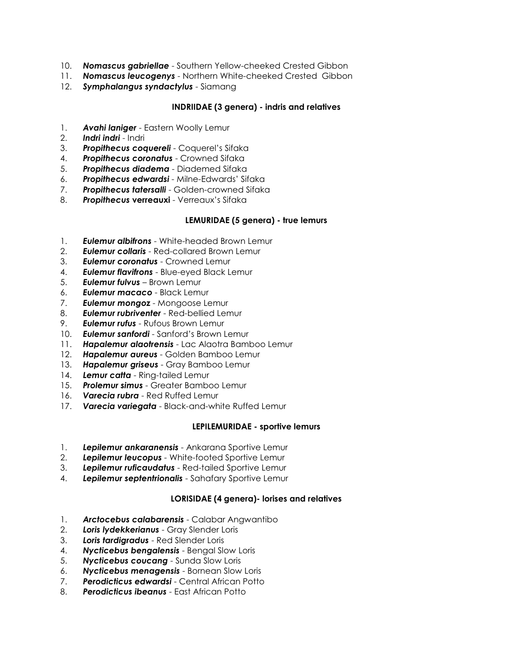- 10. *Nomascus gabriellae* Southern Yellow-cheeked Crested Gibbon
- 11. *Nomascus leucogenys* Northern White-cheeked Crested Gibbon
- 12. *Symphalangus syndactylus* Siamang

## **INDRIIDAE (3 genera) - indris and relatives**

- 1. *Avahi laniger* Eastern Woolly Lemur
- 2. *Indri indri* Indri
- 3. *Propithecus coquereli* Coquerel's Sifaka
- 4. *Propithecus coronatus* Crowned Sifaka
- 5. *Propithecus diadema* Diademed Sifaka
- 6. *Propithecus edwardsi* Milne-Edwards' Sifaka
- 7. *Propithecus tatersalli* Golden-crowned Sifaka
- 8. **Propithecus verreauxi** Verreaux's Sifaka

# **LEMURIDAE (5 genera) - true lemurs**

- 1. *Eulemur albifrons* White-headed Brown Lemur
- 2. *Eulemur collaris* Red-collared Brown Lemur
- 3. *Eulemur coronatus* Crowned Lemur
- 4. *Eulemur flavifrons* Blue-eyed Black Lemur
- 5. *Eulemur fulvus* Brown Lemur
- 6. *Eulemur macaco* Black Lemur
- 7. *Eulemur mongoz* Mongoose Lemur
- 8. *Eulemur rubriventer* Red-bellied Lemur
- 9. *Eulemur rufus* Rufous Brown Lemur
- 10. *Eulemur sanfordi* Sanford's Brown Lemur
- 11. *Hapalemur alaotrensis* Lac Alaotra Bamboo Lemur
- 12. *Hapalemur aureus* Golden Bamboo Lemur
- 13. *Hapalemur griseus* Gray Bamboo Lemur
- 14. *Lemur catta* Ring-tailed Lemur
- 15. *Prolemur simus* Greater Bamboo Lemur
- 16. *Varecia rubra* Red Ruffed Lemur
- 17. *Varecia variegata* Black-and-white Ruffed Lemur

### **LEPILEMURIDAE - sportive lemurs**

- 1. *Lepilemur ankaranensis* Ankarana Sportive Lemur
- 2. *Lepilemur leucopus -* White-footed Sportive Lemur
- 3. *Lepilemur ruficaudatus* Red-tailed Sportive Lemur
- 4. *Lepilemur septentrionalis* Sahafary Sportive Lemur

### **LORISIDAE (4 genera)- lorises and relatives**

- 1. *Arctocebus calabarensis* Calabar Angwantibo
- 2. *Loris lydekkerianus* Gray Slender Loris
- 3. *Loris tardigradus* Red Slender Loris
- 4. *Nycticebus bengalensis* Bengal Slow Loris
- 5. *Nycticebus coucang* Sunda Slow Loris
- 6. *Nycticebus menagensis* Bornean Slow Loris
- 7. *Perodicticus edwardsi* Central African Potto
- 8. *Perodicticus ibeanus* East African Potto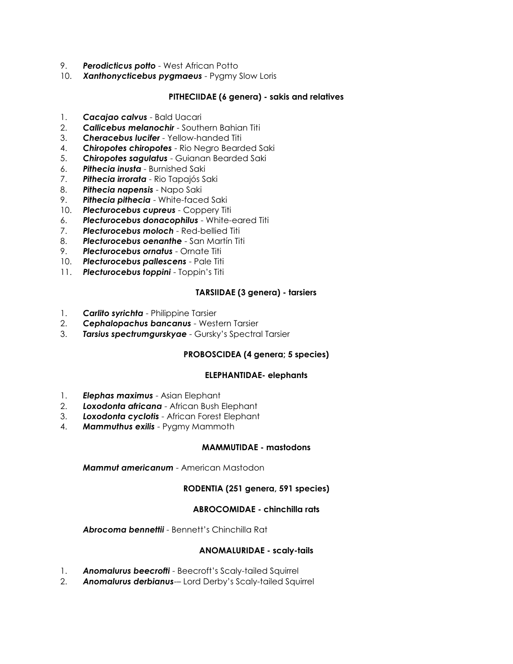- 9. *Perodicticus potto* West African Potto
- 10. *Xanthonycticebus pygmaeus* Pygmy Slow Loris

# **PITHECIIDAE (6 genera) - sakis and relatives**

- 1. *Cacajao calvus* Bald Uacari
- 2. *Callicebus melanochir* Southern Bahian Titi
- 3. *Cheracebus lucifer* Yellow-handed Titi
- 4. *Chiropotes chiropotes* Rio Negro Bearded Saki
- 5. *Chiropotes sagulatus* Guianan Bearded Saki
- 6. *Pithecia inusta* Burnished Saki
- 7. *Pithecia irrorata* Rio Tapajós Saki
- 8. *Pithecia napensis* Napo Saki
- 9. *Pithecia pithecia* White-faced Saki
- 10. *Plecturocebus cupreus* Coppery Titi
- 6. *Plecturocebus donacophilus* White-eared Titi
- 7. *Plecturocebus moloch* Red-bellied Titi
- 8. *Plecturocebus oenanthe* San Martín Titi
- 9. *Plecturocebus ornatus* Ornate Titi
- 10. *Plecturocebus pallescens* Pale Titi
- 11. *Plecturocebus toppini* Toppin's Titi

# **TARSIIDAE (3 genera) - tarsiers**

- 1. *Carlito syrichta* Philippine Tarsier
- 2. *Cephalopachus bancanus* Western Tarsier
- 3. *Tarsius spectrumgurskyae* Gursky's Spectral Tarsier

### **PROBOSCIDEA (4 genera; 5 species)**

### **ELEPHANTIDAE- elephants**

- 1. *Elephas maximus* Asian Elephant
- 2. *Loxodonta africana* African Bush Elephant
- 3. *Loxodonta cyclotis* African Forest Elephant
- 4. *Mammuthus exilis* Pygmy Mammoth

#### **MAMMUTIDAE - mastodons**

*Mammut americanum* - American Mastodon

### **RODENTIA (251 genera, 591 species)**

### **ABROCOMIDAE - chinchilla rats**

*Abrocoma bennettii* - Bennett's Chinchilla Rat

#### **ANOMALURIDAE - scaly-tails**

- 1. *Anomalurus beecrofti* Beecroft's Scaly-tailed Squirrel
- 2. *Anomalurus derbianus*-– Lord Derby's Scaly-tailed Squirrel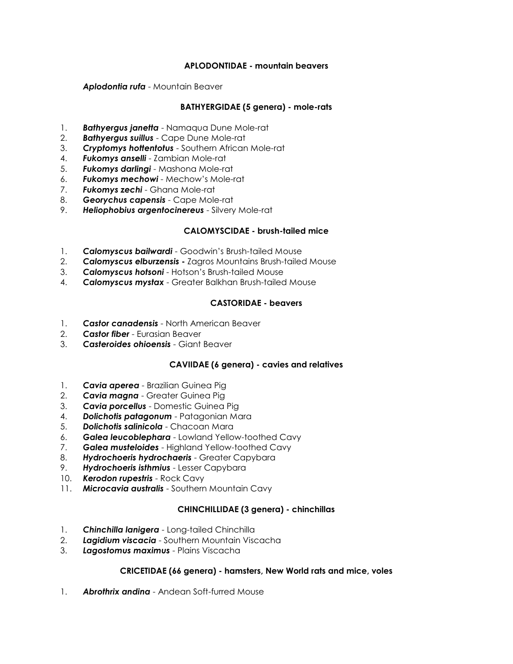## **APLODONTIDAE - mountain beavers**

*Aplodontia rufa* - Mountain Beaver

## **BATHYERGIDAE (5 genera) - mole-rats**

- 1. *Bathyergus janetta* Namaqua Dune Mole-rat
- 2. *Bathyergus suillus* Cape Dune Mole-rat
- 3. *Cryptomys hottentotus* Southern African Mole-rat
- 4. *Fukomys anselli* Zambian Mole-rat
- 5. *Fukomys darlingi* Mashona Mole-rat
- 6. *Fukomys mechowi* Mechow's Mole-rat
- 7. *Fukomys zechi* Ghana Mole-rat
- 8. *Georychus capensis* Cape Mole-rat
- 9. *Heliophobius argentocinereus* Silvery Mole-rat

### **CALOMYSCIDAE - brush-tailed mice**

- 1. *Calomyscus bailwardi* Goodwin's Brush-tailed Mouse
- 2. *Calomyscus elburzensis* Zagros Mountains Brush-tailed Mouse
- 3. *Calomyscus hotsoni* Hotson's Brush-tailed Mouse
- 4. *Calomyscus mystax* Greater Balkhan Brush-tailed Mouse

### **CASTORIDAE - beavers**

- 1. *Castor canadensis* North American Beaver
- 2. *Castor fiber* Eurasian Beaver
- 3. *Casteroides ohioensis* Giant Beaver

### **CAVIIDAE (6 genera) - cavies and relatives**

- 1. *Cavia aperea* Brazilian Guinea Pig
- 2. *Cavia magna* Greater Guinea Pig
- 3. *Cavia porcellus* Domestic Guinea Pig
- 4. *Dolichotis patagonum* Patagonian Mara
- 5. *Dolichotis salinicola* Chacoan Mara
- 6. *Galea leucoblephara* Lowland Yellow-toothed Cavy
- 7. *Galea musteloides* Highland Yellow-toothed Cavy
- 8. *Hydrochoeris hydrochaeris* Greater Capybara
- 9. *Hydrochoeris isthmius* Lesser Capybara
- 10. *Kerodon rupestris* Rock Cavy
- 11. *Microcavia australis* Southern Mountain Cavy

### **CHINCHILLIDAE (3 genera) - chinchillas**

- 1. *Chinchilla lanigera* Long-tailed Chinchilla
- 2. *Lagidium viscacia* Southern Mountain Viscacha
- 3. *Lagostomus maximus* Plains Viscacha

### **CRICETIDAE (66 genera) - hamsters, New World rats and mice, voles**

1. *Abrothrix andina* - Andean Soft-furred Mouse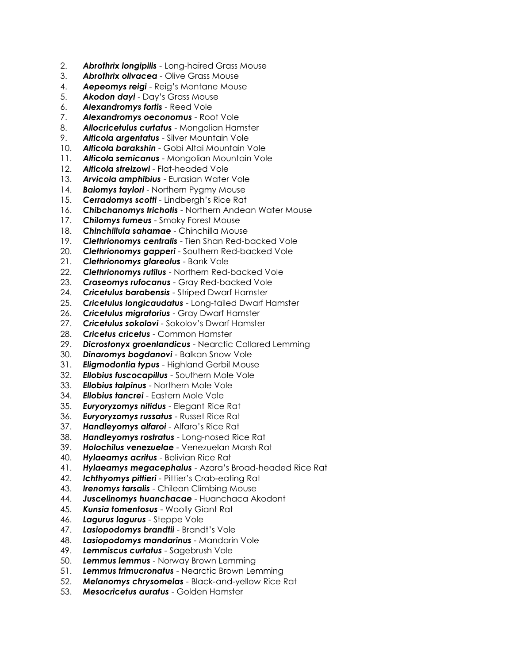- 2. *Abrothrix longipilis* Long-haired Grass Mouse
- 3. *Abrothrix olivacea* Olive Grass Mouse
- 4. *Aepeomys reigi* Reig's Montane Mouse
- 5. *Akodon dayi* Day's Grass Mouse
- 6. *Alexandromys fortis* Reed Vole
- 7. *Alexandromys oeconomus* Root Vole
- 8. *Allocricetulus curtatus* Mongolian Hamster
- 9. *Alticola argentatus* Silver Mountain Vole
- 10. *Alticola barakshin* Gobi Altai Mountain Vole
- 11. *Alticola semicanus* Mongolian Mountain Vole
- 12. *Alticola strelzowi* Flat-headed Vole
- 13. *Arvicola amphibius* Eurasian Water Vole
- 14. *Baiomys taylori* Northern Pygmy Mouse
- 15. *Cerradomys scotti* Lindbergh's Rice Rat
- 16. *Chibchanomys trichotis* Northern Andean Water Mouse
- 17. *Chilomys fumeus* Smoky Forest Mouse
- 18. *Chinchillula sahamae* Chinchilla Mouse
- 19. *Clethrionomys centralis* Tien Shan Red-backed Vole
- 20. *Clethrionomys gapperi* Southern Red-backed Vole
- 21. *Clethrionomys glareolus* Bank Vole
- 22. *Clethrionomys rutilus* Northern Red-backed Vole
- 23. *Craseomys rufocanus* Gray Red-backed Vole
- 24. *Cricetulus barabensis* Striped Dwarf Hamster
- 25. *Cricetulus longicaudatus* Long-tailed Dwarf Hamster
- 26. *Cricetulus migratorius* Gray Dwarf Hamster
- 27. *Cricetulus sokolovi* Sokolov's Dwarf Hamster
- 28. *Cricetus cricetus* Common Hamster
- 29. *Dicrostonyx groenlandicus* Nearctic Collared Lemming
- 30. *Dinaromys bogdanovi* Balkan Snow Vole
- 31. *Eligmodontia typus* Highland Gerbil Mouse
- 32. *Ellobius fuscocapillus* Southern Mole Vole
- 33. *Ellobius talpinus* Northern Mole Vole
- 34. *Ellobius tancrei* Eastern Mole Vole
- 35. *Euryoryzomys nitidus* Elegant Rice Rat
- 36. *Euryoryzomys russatus* Russet Rice Rat
- 37. *Handleyomys alfaroi* Alfaro's Rice Rat
- 38. *Handleyomys rostratus* Long-nosed Rice Rat
- 39. *Holochilus venezuelae* Venezuelan Marsh Rat
- 40. *Hylaeamys acritus* Bolivian Rice Rat
- 41. *Hylaeamys megacephalus* Azara's Broad-headed Rice Rat
- 42. *Ichthyomys pittieri* Pittier's Crab-eating Rat
- 43. *Irenomys tarsalis* Chilean Climbing Mouse
- 44. *Juscelinomys huanchacae* Huanchaca Akodont
- 45. *Kunsia tomentosus* Woolly Giant Rat
- 46. *Lagurus lagurus* Steppe Vole
- 47. *Lasiopodomys brandtii* Brandt's Vole
- 48. *Lasiopodomys mandarinus* Mandarin Vole
- 49. *Lemmiscus curtatus* Sagebrush Vole
- 50. *Lemmus lemmus* Norway Brown Lemming
- 51. *Lemmus trimucronatus* Nearctic Brown Lemming
- 52. *Melanomys chrysomelas* Black-and-yellow Rice Rat
- 53. *Mesocricetus auratus* Golden Hamster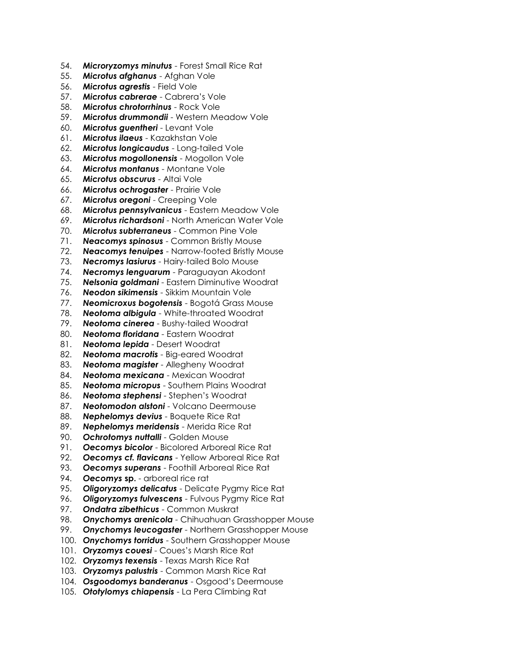- 54. *Microryzomys minutus* Forest Small Rice Rat
- 55. *Microtus afghanus* Afghan Vole
- 56. *Microtus agrestis* Field Vole
- 57. *Microtus cabrerae* Cabrera's Vole
- 58. *Microtus chrotorrhinus* Rock Vole
- 59. *Microtus drummondii* Western Meadow Vole
- 60. *Microtus guentheri* Levant Vole
- 61. *Microtus ilaeus* Kazakhstan Vole
- 62. *Microtus longicaudus* Long-tailed Vole
- 63. *Microtus mogollonensis* Mogollon Vole
- 64. *Microtus montanus* Montane Vole
- 65. *Microtus obscurus* Altai Vole
- 66. *Microtus ochrogaster* Prairie Vole
- 67. *Microtus oregoni* Creeping Vole
- 68. *Microtus pennsylvanicus* Eastern Meadow Vole
- 69. *Microtus richardsoni* North American Water Vole
- 70. *Microtus subterraneus* Common Pine Vole
- 71. *Neacomys spinosus* Common Bristly Mouse
- 72. *Neacomys tenuipes* Narrow-footed Bristly Mouse
- 73. *Necromys lasiurus* Hairy-tailed Bolo Mouse
- 74. *Necromys lenguarum* Paraguayan Akodont
- 75. *Nelsonia goldmani* Eastern Diminutive Woodrat
- 76. *Neodon sikimensis* Sikkim Mountain Vole
- 77. *Neomicroxus bogotensis* Bogotá Grass Mouse
- 78. *Neotoma albigula* White-throated Woodrat
- 79. *Neotoma cinerea* Bushy-tailed Woodrat
- 80. *Neotoma floridana* Eastern Woodrat
- 81. *Neotoma lepida* Desert Woodrat
- 82. *Neotoma macrotis* Big-eared Woodrat
- 83. *Neotoma magister* Allegheny Woodrat
- 84. *Neotoma mexicana* Mexican Woodrat
- 85. *Neotoma micropus* Southern Plains Woodrat
- 86. *Neotoma stephensi* Stephen's Woodrat
- 87. *Neotomodon alstoni* Volcano Deermouse
- 88. *Nephelomys devius* Boquete Rice Rat
- 89. *Nephelomys meridensis* Merida Rice Rat
- 90. *Ochrotomys nuttalli* Golden Mouse
- 91. *Oecomys bicolor* Bicolored Arboreal Rice Rat
- 92. *Oecomys cf. flavicans* Yellow Arboreal Rice Rat
- 93. *Oecomys superans* Foothill Arboreal Rice Rat
- 94. *Oecomys* **sp.** arboreal rice rat
- 95. *Oligoryzomys delicatus* Delicate Pygmy Rice Rat
- 96. *Oligoryzomys fulvescens* Fulvous Pygmy Rice Rat
- 97. *Ondatra zibethicus* Common Muskrat
- 98. *Onychomys arenicola* Chihuahuan Grasshopper Mouse
- 99. *Onychomys leucogaster* Northern Grasshopper Mouse
- 100. *Onychomys torridus* Southern Grasshopper Mouse
- 101. *Oryzomys couesi* Coues's Marsh Rice Rat
- 102. *Oryzomys texensis* Texas Marsh Rice Rat
- 103. *Oryzomys palustris* Common Marsh Rice Rat
- 104. *Osgoodomys banderanus* Osgood's Deermouse
- 105. *Ototylomys chiapensis* La Pera Climbing Rat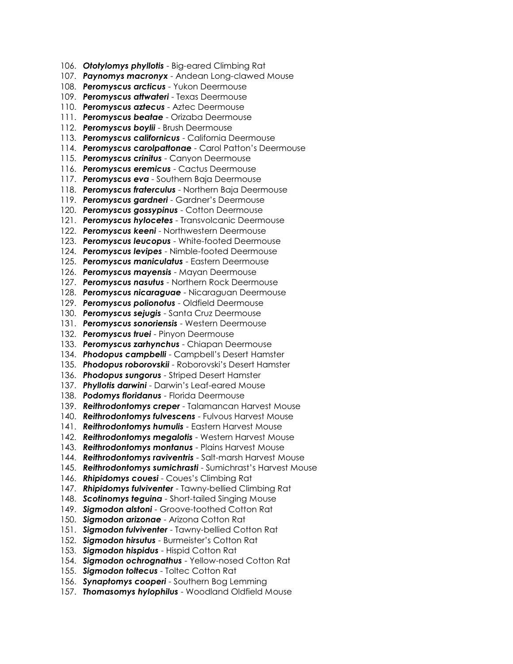- 106. *Ototylomys phyllotis* Big-eared Climbing Rat
- 107. *Paynomys macronyx* Andean Long-clawed Mouse
- 108. *Peromyscus arcticus* Yukon Deermouse
- 109. *Peromyscus attwateri* Texas Deermouse
- 110. *Peromyscus aztecus* Aztec Deermouse
- 111. *Peromyscus beatae* Orizaba Deermouse
- 112. *Peromyscus boylii* Brush Deermouse
- 113. *Peromyscus californicus* California Deermouse
- 114. *Peromyscus carolpattonae* Carol Patton's Deermouse
- 115. *Peromyscus crinitus* Canyon Deermouse
- 116. *Peromyscus eremicus* Cactus Deermouse
- 117. *Peromyscus eva* Southern Baja Deermouse
- 118. *Peromyscus fraterculus* Northern Baja Deermouse
- 119. *Peromyscus gardneri* Gardner's Deermouse
- 120. *Peromyscus gossypinus* Cotton Deermouse
- 121. *Peromyscus hylocetes* Transvolcanic Deermouse
- 122. *Peromyscus keeni* Northwestern Deermouse
- 123. *Peromyscus leucopus* White-footed Deermouse
- 124. *Peromyscus levipes* Nimble-footed Deermouse
- 125. *Peromyscus maniculatus* Eastern Deermouse
- 126. *Peromyscus mayensis* Mayan Deermouse
- 127. *Peromyscus nasutus* Northern Rock Deermouse
- 128. *Peromyscus nicaraguae* Nicaraguan Deermouse
- 129. *Peromyscus polionotus* Oldfield Deermouse
- 130. *Peromyscus sejugis* Santa Cruz Deermouse
- 131. *Peromyscus sonoriensis* Western Deermouse
- 132. *Peromyscus truei* Pinyon Deermouse
- 133. *Peromyscus zarhynchus* Chiapan Deermouse
- 134. *Phodopus campbelli* Campbell's Desert Hamster
- 135. *Phodopus roborovskii* Roborovski's Desert Hamster
- 136. *Phodopus sungorus* Striped Desert Hamster
- 137. *Phyllotis darwini* Darwin's Leaf-eared Mouse
- 138. *Podomys floridanus* Florida Deermouse
- 139. *Reithrodontomys creper* Talamancan Harvest Mouse
- 140. *Reithrodontomys fulvescens* Fulvous Harvest Mouse
- 141. *Reithrodontomys humulis* Eastern Harvest Mouse
- 142. *Reithrodontomys megalotis* Western Harvest Mouse
- 143. *Reithrodontomys montanus* Plains Harvest Mouse
- 144. *Reithrodontomys raviventris* Salt-marsh Harvest Mouse
- 145. *Reithrodontomys sumichrasti* Sumichrast's Harvest Mouse
- 146. *Rhipidomys couesi* Coues's Climbing Rat
- 147. *Rhipidomys fulviventer* Tawny-bellied Climbing Rat
- 148. *Scotinomys teguina* Short-tailed Singing Mouse
- 149. *Sigmodon alstoni* Groove-toothed Cotton Rat
- 150. *Sigmodon arizonae* Arizona Cotton Rat
- 151. *Sigmodon fulviventer* Tawny-bellied Cotton Rat
- 152. *Sigmodon hirsutus* Burmeister's Cotton Rat
- 153. *Sigmodon hispidus* Hispid Cotton Rat
- 154. *Sigmodon ochrognathus* Yellow-nosed Cotton Rat
- 155. *Sigmodon toltecus* Toltec Cotton Rat
- 156. *Synaptomys cooperi* Southern Bog Lemming
- 157. *Thomasomys hylophilus* Woodland Oldfield Mouse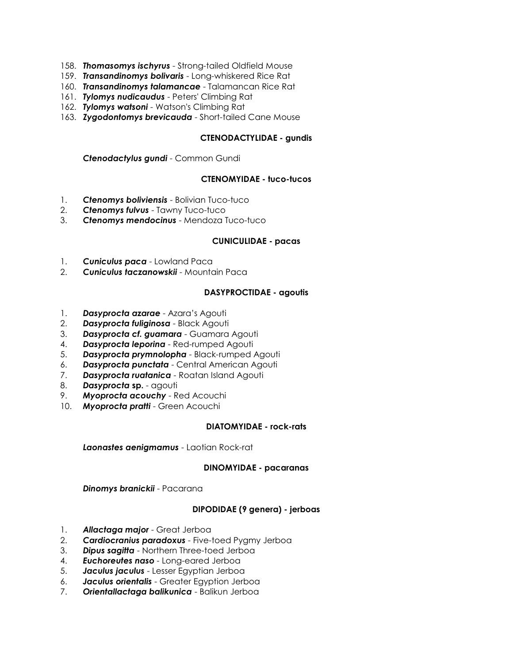- 158. *Thomasomys ischyrus* Strong-tailed Oldfield Mouse
- 159. *Transandinomys bolivaris* Long-whiskered Rice Rat
- 160. *Transandinomys talamancae* Talamancan Rice Rat
- 161. *Tylomys nudicaudus* Peters' Climbing Rat
- 162. *Tylomys watsoni* Watson's Climbing Rat
- 163. *Zygodontomys brevicauda* Short-tailed Cane Mouse

### **CTENODACTYLIDAE - gundis**

*Ctenodactylus gundi* - Common Gundi

### **CTENOMYIDAE - tuco-tucos**

- 1. *Ctenomys boliviensis* Bolivian Tuco-tuco
- 2. *Ctenomys fulvus* Tawny Tuco-tuco
- 3. *Ctenomys mendocinus* Mendoza Tuco-tuco

### **CUNICULIDAE - pacas**

- 1. *Cuniculus paca* Lowland Paca
- 2. *Cuniculus taczanowskii* Mountain Paca

### **DASYPROCTIDAE - agoutis**

- 1. *Dasyprocta azarae* Azara's Agouti
- 2. *Dasyprocta fuliginosa* Black Agouti
- 3. *Dasyprocta cf. guamara* Guamara Agouti
- 4. *Dasyprocta leporina* Red-rumped Agouti
- 5. *Dasyprocta prymnolopha* Black-rumped Agouti
- 6. *Dasyprocta punctata* Central American Agouti
- 7. *Dasyprocta ruatanica* Roatan Island Agouti
- 8. *Dasyprocta* **sp.** agouti
- 9. *Myoprocta acouchy* Red Acouchi
- 10. *Myoprocta pratti* Green Acouchi

### **DIATOMYIDAE - rock-rats**

*Laonastes aenigmamus* - Laotian Rock-rat

#### **DINOMYIDAE - pacaranas**

*Dinomys branickii* - Pacarana

### **DIPODIDAE (9 genera) - jerboas**

- 1. *Allactaga major* Great Jerboa
- 2. *Cardiocranius paradoxus* Five-toed Pygmy Jerboa
- 3. *Dipus sagitta* Northern Three-toed Jerboa
- 4. *Euchoreutes naso* Long-eared Jerboa
- 5. *Jaculus jaculus* Lesser Egyptian Jerboa
- 6. *Jaculus orientalis* Greater Egyption Jerboa
- 7. *Orientallactaga balikunica* Balikun Jerboa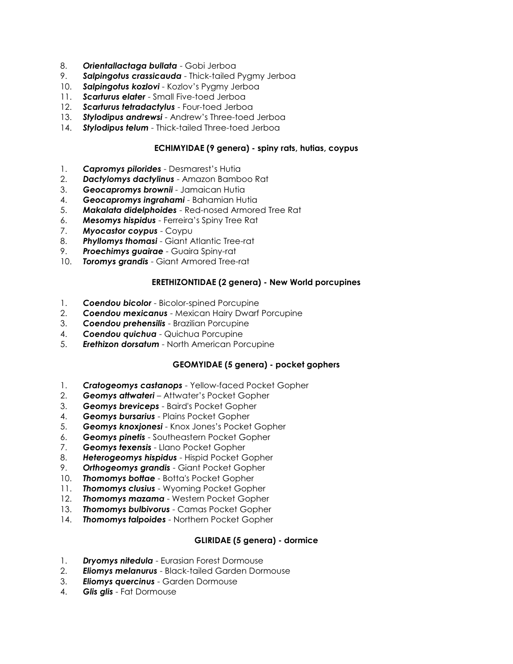- 8. *Orientallactaga bullata* Gobi Jerboa
- 9. *Salpingotus crassicauda* Thick-tailed Pygmy Jerboa
- 10. *Salpingotus kozlovi* Kozlov's Pygmy Jerboa
- 11. *Scarturus elater* Small Five-toed Jerboa
- 12. *Scarturus tetradactylus* Four-toed Jerboa
- 13. *Stylodipus andrewsi* Andrew's Three-toed Jerboa
- 14. *Stylodipus telum* Thick-tailed Three-toed Jerboa

## **ECHIMYIDAE (9 genera) - spiny rats, hutias, coypus**

- 1. *Capromys pilorides* Desmarest's Hutia
- 2. *Dactylomys dactylinus* Amazon Bamboo Rat
- 3. *Geocapromys brownii* Jamaican Hutia
- 4. *Geocapromys ingrahami* Bahamian Hutia
- 5. *Makalata didelphoides* Red-nosed Armored Tree Rat
- 6. *Mesomys hispidus* Ferreira's Spiny Tree Rat
- 7. *Myocastor coypus* Coypu
- 8. *Phyllomys thomasi* Giant Atlantic Tree-rat
- 9. *Proechimys guairae* Guaira Spiny-rat
- 10. *Toromys grandis* Giant Armored Tree-rat

# **ERETHIZONTIDAE (2 genera) - New World porcupines**

- 1. *Coendou bicolor* Bicolor-spined Porcupine
- 2. *Coendou mexicanus* Mexican Hairy Dwarf Porcupine
- 3. *Coendou prehensilis* Brazilian Porcupine
- 4. *Coendou quichua* Quichua Porcupine
- 5. *Erethizon dorsatum* North American Porcupine

# **GEOMYIDAE (5 genera) - pocket gophers**

- 1. *Cratogeomys castanops* Yellow-faced Pocket Gopher
- 2. *Geomys attwateri* Attwater's Pocket Gopher
- 3. *Geomys breviceps* Baird's Pocket Gopher
- 4. *Geomys bursarius* Plains Pocket Gopher
- 5. *Geomys knoxjonesi* Knox Jones's Pocket Gopher
- 6. *Geomys pinetis* Southeastern Pocket Gopher
- 7. *Geomys texensis* Llano Pocket Gopher
- 8. *Heterogeomys hispidus* Hispid Pocket Gopher
- 9. *Orthogeomys grandis* Giant Pocket Gopher
- 10. *Thomomys bottae* Botta's Pocket Gopher
- 11. *Thomomys clusius* Wyoming Pocket Gopher
- 12. *Thomomys mazama* Western Pocket Gopher
- 13. *Thomomys bulbivorus* Camas Pocket Gopher
- 14. *Thomomys talpoides* Northern Pocket Gopher

# **GLIRIDAE (5 genera) - dormice**

- 1. *Dryomys nitedula* Eurasian Forest Dormouse
- 2. *Eliomys melanurus* Black-tailed Garden Dormouse
- 3. *Eliomys quercinus* Garden Dormouse
- 4. *Glis glis* Fat Dormouse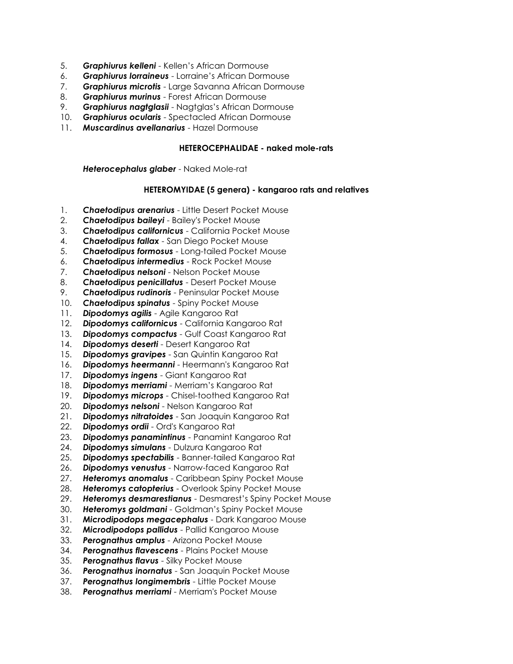- 5. *Graphiurus kelleni* Kellen's African Dormouse
- 6. *Graphiurus lorraineus* Lorraine's African Dormouse
- 7. *Graphiurus microtis* Large Savanna African Dormouse
- 8. *Graphiurus murinus* Forest African Dormouse
- 9. *Graphiurus nagtglasii* Nagtglas's African Dormouse
- 10. *Graphiurus ocularis* Spectacled African Dormouse
- 11. *Muscardinus avellanarius* Hazel Dormouse

### **HETEROCEPHALIDAE - naked mole-rats**

*Heterocephalus glaber* - Naked Mole-rat

### **HETEROMYIDAE (5 genera) - kangaroo rats and relatives**

- 1. *Chaetodipus arenarius* Little Desert Pocket Mouse
- 2. *Chaetodipus baileyi* Bailey's Pocket Mouse
- 3. *Chaetodipus californicus* California Pocket Mouse
- 4. *Chaetodipus fallax* San Diego Pocket Mouse
- 5. *Chaetodipus formosus* Long-tailed Pocket Mouse
- 6. *Chaetodipus intermedius* Rock Pocket Mouse
- 7. *Chaetodipus nelsoni* Nelson Pocket Mouse
- 8. *Chaetodipus penicillatus* Desert Pocket Mouse
- 9. *Chaetodipus rudinoris* Peninsular Pocket Mouse
- 10. *Chaetodipus spinatus* Spiny Pocket Mouse
- 11. *Dipodomys agilis* Agile Kangaroo Rat
- 12. *Dipodomys californicus* California Kangaroo Rat
- 13. *Dipodomys compactus* Gulf Coast Kangaroo Rat
- 14. *Dipodomys deserti* Desert Kangaroo Rat
- 15. *Dipodomys gravipes* San Quintin Kangaroo Rat
- 16. *Dipodomys heermanni* Heermann's Kangaroo Rat
- 17. *Dipodomys ingens* Giant Kangaroo Rat
- 18. *Dipodomys merriami* Merriam's Kangaroo Rat
- 19. *Dipodomys microps* Chisel-toothed Kangaroo Rat
- **Dipodomys nelsoni** Nelson Kangaroo Rat
- 21. *Dipodomys nitratoides* San Joaquin Kangaroo Rat
- 22. *Dipodomys ordii* Ord's Kangaroo Rat
- 23. *Dipodomys panamintinus* Panamint Kangaroo Rat
- 24. *Dipodomys simulans* Dulzura Kangaroo Rat
- 25. *Dipodomys spectabilis* Banner-tailed Kangaroo Rat
- 26. *Dipodomys venustus* Narrow-faced Kangaroo Rat
- 27. *Heteromys anomalus* Caribbean Spiny Pocket Mouse
- 28. *Heteromys catopterius* Overlook Spiny Pocket Mouse
- 29. *Heteromys desmarestianus* Desmarest's Spiny Pocket Mouse
- 30. *Heteromys goldmani* Goldman's Spiny Pocket Mouse
- 31. *Microdipodops megacephalus* Dark Kangaroo Mouse
- 32. *Microdipodops pallidus* Pallid Kangaroo Mouse
- 33. *Perognathus amplus* Arizona Pocket Mouse
- 34. *Perognathus flavescens* Plains Pocket Mouse
- 35. *Perognathus flavus* Silky Pocket Mouse
- 36. *Perognathus inornatus* San Joaquin Pocket Mouse
- 37. *Perognathus longimembris* Little Pocket Mouse
- 38. *Perognathus merriami* Merriam's Pocket Mouse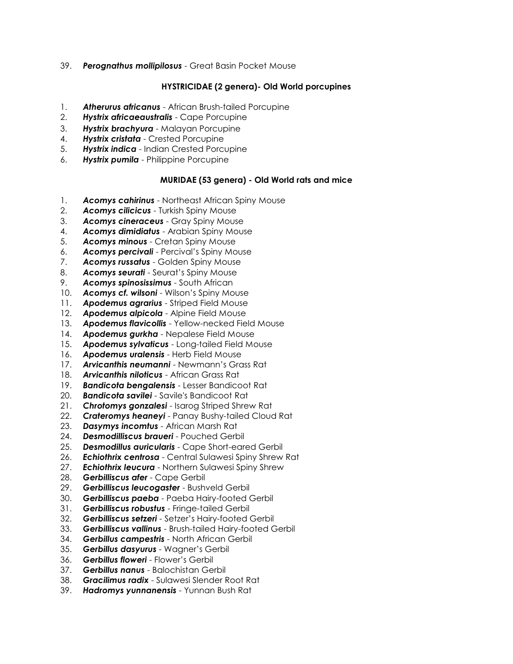39. *Perognathus mollipilosus* - Great Basin Pocket Mouse

## **HYSTRICIDAE (2 genera)- Old World porcupines**

- 1. *Atherurus africanus* African Brush-tailed Porcupine
- 2. *Hystrix africaeaustralis* Cape Porcupine
- 3. *Hystrix brachyura* Malayan Porcupine
- 4. *Hystrix cristata* Crested Porcupine
- 5. *Hystrix indica* Indian Crested Porcupine
- 6. *Hystrix pumila* Philippine Porcupine

### **MURIDAE (53 genera) - Old World rats and mice**

- 1. *Acomys cahirinus* Northeast African Spiny Mouse
- 2. *Acomys cilicicus* Turkish Spiny Mouse
- 3. *Acomys cineraceus* Gray Spiny Mouse
- 4. *Acomys dimidiatus* Arabian Spiny Mouse
- 5. *Acomys minous* Cretan Spiny Mouse
- 6. *Acomys percivali* Percival's Spiny Mouse
- 7. *Acomys russatus* Golden Spiny Mouse
- 8. *Acomys seurati* Seurat's Spiny Mouse
- 9. *Acomys spinosissimus* South African
- 10. *Acomys cf. wilsoni* Wilson's Spiny Mouse
- 11. *Apodemus agrarius* Striped Field Mouse
- 12. *Apodemus alpicola* Alpine Field Mouse
- 13. *Apodemus flavicollis* Yellow-necked Field Mouse
- 14. *Apodemus gurkha* Nepalese Field Mouse
- 15. *Apodemus sylvaticus* Long-tailed Field Mouse
- 16. *Apodemus uralensis* Herb Field Mouse
- 17. *Arvicanthis neumanni* Newmann's Grass Rat
- 18. *Arvicanthis niloticus* African Grass Rat
- 19. *Bandicota bengalensis* Lesser Bandicoot Rat
- 20. *Bandicota savilei* Savile's Bandicoot Rat
- 21. *Chrotomys gonzalesi* Isarog Striped Shrew Rat
- 22. *Crateromys heaneyi* Panay Bushy-tailed Cloud Rat
- 23. *Dasymys incomtus* African Marsh Rat
- 24. *Desmodilliscus braueri* Pouched Gerbil
- 25. *Desmodillus auricularis* Cape Short-eared Gerbil
- 26. *Echiothrix centrosa* Central Sulawesi Spiny Shrew Rat
- 27. *Echiothrix leucura* Northern Sulawesi Spiny Shrew
- 28. *Gerbilliscus afer* Cape Gerbil
- 29. *Gerbilliscus leucogaster* Bushveld Gerbil
- 30. *Gerbilliscus paeba* Paeba Hairy-footed Gerbil
- 31. *Gerbilliscus robustus* Fringe-tailed Gerbil
- 32. *Gerbilliscus setzeri* Setzer's Hairy-footed Gerbil
- 33. *Gerbilliscus vallinus* Brush-tailed Hairy-footed Gerbil
- 34. *Gerbillus campestris* North African Gerbil
- 35. *Gerbillus dasyurus* Wagner's Gerbil
- 36. *Gerbillus floweri* Flower's Gerbil
- 37. *Gerbillus nanus* Balochistan Gerbil
- 38. *Gracilimus radix* Sulawesi Slender Root Rat
- 39. *Hadromys yunnanensis* Yunnan Bush Rat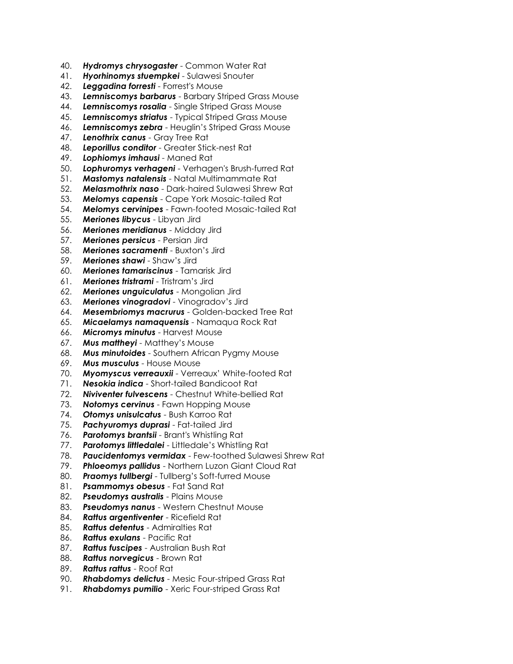- 40. *Hydromys chrysogaster* Common Water Rat
- 41. *Hyorhinomys stuempkei* Sulawesi Snouter
- 42. *Leggadina forresti* Forrest's Mouse
- 43. *Lemniscomys barbarus* Barbary Striped Grass Mouse
- 44. *Lemniscomys rosalia* Single Striped Grass Mouse
- 45. *Lemniscomys striatus* Typical Striped Grass Mouse
- 46. *Lemniscomys zebra* Heuglin's Striped Grass Mouse
- 47. *Lenothrix canus* Gray Tree Rat
- 48. *Leporillus conditor* Greater Stick-nest Rat
- 49. *Lophiomys imhausi* Maned Rat
- 50. *Lophuromys verhageni* Verhagen's Brush-furred Rat
- 51. *Mastomys natalensis* Natal Multimammate Rat
- 52. *Melasmothrix naso* Dark-haired Sulawesi Shrew Rat
- 53. *Melomys capensis* Cape York Mosaic-tailed Rat
- 54. *Melomys cervinipes* Fawn-footed Mosaic-tailed Rat
- 55. *Meriones libycus* Libyan Jird
- 56. *Meriones meridianus* Midday Jird
- 57. *Meriones persicus* Persian Jird
- 58. *Meriones sacramenti* Buxton's Jird
- 59. *Meriones shawi* Shaw's Jird
- 60. *Meriones tamariscinus* Tamarisk Jird
- 61. *Meriones tristrami* Tristram's Jird
- 62. *Meriones unguiculatus* Mongolian Jird
- 63. *Meriones vinogradovi* Vinogradov's Jird
- 64. *Mesembriomys macrurus* Golden-backed Tree Rat
- 65. *Micaelamys namaquensis* Namaqua Rock Rat
- 66. *Micromys minutus* Harvest Mouse
- 67. *Mus mattheyi* Matthey's Mouse
- 68. *Mus minutoides* Southern African Pygmy Mouse
- 69. *Mus musculus* House Mouse
- 70. *Myomyscus verreauxii* Verreaux' White-footed Rat
- 71. *Nesokia indica* Short-tailed Bandicoot Rat
- 72. *Niviventer fulvescens* Chestnut White-bellied Rat
- 73. *Notomys cervinus* Fawn Hopping Mouse
- 74. *Otomys unisulcatus* Bush Karroo Rat
- 75. *Pachyuromys duprasi* Fat-tailed Jird
- 76. *Parotomys brantsii* Brant's Whistling Rat
- 77. *Parotomys littledalei* Littledale's Whistling Rat
- 78. *Paucidentomys vermidax* Few-toothed Sulawesi Shrew Rat
- **Phloeomys pallidus** Northern Luzon Giant Cloud Rat
- 80. **Praomys tullbergi** Tullberg's Soft-furred Mouse
- 81. *Psammomys obesus* Fat Sand Rat
- 82. *Pseudomys australis* Plains Mouse
- 83. *Pseudomys nanus* Western Chestnut Mouse
- 84. *Rattus argentiventer* Ricefield Rat
- 85. *Rattus detentus* Admiralties Rat
- 86. *Rattus exulans* Pacific Rat
- 87. *Rattus fuscipes* Australian Bush Rat
- 88. *Rattus norvegicus* Brown Rat
- 89. *Rattus rattus* Roof Rat
- 90. *Rhabdomys delictus* Mesic Four-striped Grass Rat
- 91. *Rhabdomys pumilio* Xeric Four-striped Grass Rat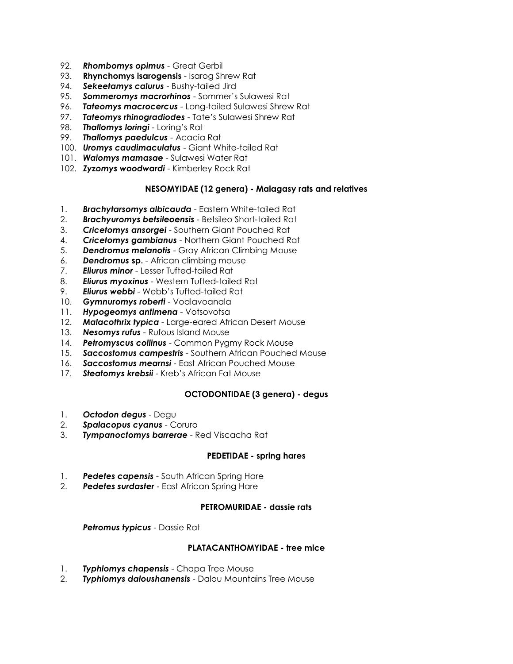- 92. *Rhombomys opimus* Great Gerbil
- 93. **Rhynchomys isarogensis** Isarog Shrew Rat
- 94. *Sekeetamys calurus* Bushy-tailed Jird
- 95. *Sommeromys macrorhinos* Sommer's Sulawesi Rat
- 96. *Tateomys macrocercus* Long-tailed Sulawesi Shrew Rat
- 97. *Tateomys rhinogradiodes* Tate's Sulawesi Shrew Rat
- 98. *Thallomys loringi* Loring's Rat
- 99. *Thallomys paedulcus* Acacia Rat
- 100. *Uromys caudimaculatus* Giant White-tailed Rat
- 101. *Waiomys mamasae* Sulawesi Water Rat
- 102. *Zyzomys woodwardi* Kimberley Rock Rat

# **NESOMYIDAE (12 genera) - Malagasy rats and relatives**

- 1. *Brachytarsomys albicauda* Eastern White-tailed Rat
- 2. *Brachyuromys betsileoensis* Betsileo Short-tailed Rat
- 3. *Cricetomys ansorgei* Southern Giant Pouched Rat
- 4. *Cricetomys gambianus* Northern Giant Pouched Rat
- 5. *Dendromus melanotis* Gray African Climbing Mouse
- 6. *Dendromus* **sp.** African climbing mouse
- 7. *Eliurus minor* Lesser Tufted-tailed Rat
- 8. *Eliurus myoxinus* Western Tufted-tailed Rat
- 9. *Eliurus webbi* Webb's Tufted-tailed Rat
- 10. *Gymnuromys roberti* Voalavoanala
- 11. *Hypogeomys antimena* Votsovotsa
- 12. *Malacothrix typica* Large-eared African Desert Mouse
- 13. *Nesomys rufus* Rufous Island Mouse
- 14. *Petromyscus collinus* Common Pygmy Rock Mouse
- 15. *Saccostomus campestris* Southern African Pouched Mouse
- 16. *Saccostomus mearnsi* East African Pouched Mouse
- 17. *Steatomys krebsii* Kreb's African Fat Mouse

# **OCTODONTIDAE (3 genera) - degus**

- 1. *Octodon degus* Degu
- 2. *Spalacopus cyanus* Coruro
- 3. *Tympanoctomys barrerae* Red Viscacha Rat

### **PEDETIDAE - spring hares**

- 1. *Pedetes capensis* South African Spring Hare
- 2. *Pedetes surdaster* East African Spring Hare

### **PETROMURIDAE - dassie rats**

*Petromus typicus* - Dassie Rat

### **PLATACANTHOMYIDAE - tree mice**

- 1. *Typhlomys chapensis* Chapa Tree Mouse
- 2. *Typhlomys daloushanensis* Dalou Mountains Tree Mouse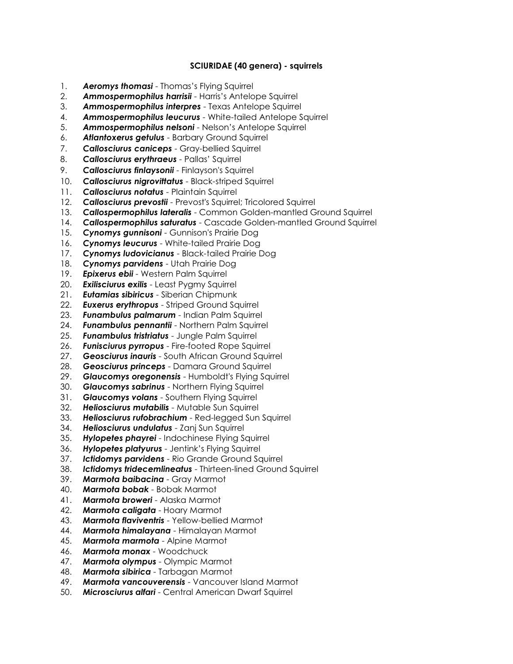### **SCIURIDAE (40 genera) - squirrels**

- 1. *Aeromys thomasi* Thomas's Flying Squirrel
- 2. *Ammospermophilus harrisii* Harris's Antelope Squirrel
- 3. *Ammospermophilus interpres* Texas Antelope Squirrel
- 4. *Ammospermophilus leucurus* White-tailed Antelope Squirrel
- 5. *Ammospermophilus nelsoni* Nelson's Antelope Squirrel
- 6. *Atlantoxerus getulus* Barbary Ground Squirrel
- 7. *Callosciurus caniceps* Gray-bellied Squirrel
- 8. *Callosciurus erythraeus* Pallas' Squirrel
- 9. *Callosciurus finlaysonii* Finlayson's Squirrel
- 10. *Callosciurus nigrovittatus* Black-striped Squirrel
- 11. *Callosciurus notatus* Plaintain Squirrel
- 12. *Callosciurus prevostii* Prevost's Squirrel; Tricolored Squirrel
- 13. *Callospermophilus lateralis* Common Golden-mantled Ground Squirrel
- 14. *Callospermophilus saturatus* Cascade Golden-mantled Ground Squirrel
- 15. *Cynomys gunnisoni* Gunnison's Prairie Dog
- 16. *Cynomys leucurus* White-tailed Prairie Dog
- 17. *Cynomys ludovicianus* Black-tailed Prairie Dog
- 18. *Cynomys parvidens* Utah Prairie Dog
- 19. *Epixerus ebii* Western Palm Squirrel
- 20. *Exilisciurus exilis* Least Pygmy Squirrel
- 21. *Eutamias sibiricus* Siberian Chipmunk
- 22. *Euxerus erythropus* Striped Ground Squirrel
- 23. *Funambulus palmarum* Indian Palm Squirrel
- 24. *Funambulus pennantii* Northern Palm Squirrel
- 25. *Funambulus tristriatus* Jungle Palm Squirrel
- 26. *Funisciurus pyrropus* Fire-footed Rope Squirrel
- 27. *Geosciurus inauris* South African Ground Squirrel
- 28. *Geosciurus princeps* Damara Ground Squirrel
- 29. *Glaucomys oregonensis* Humboldt's Flying Squirrel
- 30. *Glaucomys sabrinus* Northern Flying Squirrel
- 31. *Glaucomys volans* Southern Flying Squirrel
- 32. *Heliosciurus mutabilis* Mutable Sun Squirrel
- 33. *Heliosciurus rufobrachium* Red-legged Sun Squirrel
- 34. *Heliosciurus undulatus* Zanj Sun Squirrel
- 35. *Hylopetes phayrei* Indochinese Flying Squirrel
- 36. *Hylopetes platyurus* Jentink's Flying Squirrel
- 37. *Ictidomys parvidens* Rio Grande Ground Squirrel
- 38. *Ictidomys tridecemlineatus* Thirteen-lined Ground Squirrel
- 39. *Marmota baibacina* Gray Marmot
- 40. *Marmota bobak* Bobak Marmot
- 41. *Marmota broweri* Alaska Marmot
- 42. *Marmota caligata* Hoary Marmot
- 43. *Marmota flaviventris* Yellow-bellied Marmot
- 44. *Marmota himalayana* Himalayan Marmot
- 45. *Marmota marmota* Alpine Marmot
- 46. *Marmota monax* Woodchuck
- 47. *Marmota olympus* Olympic Marmot
- 48. *Marmota sibirica* Tarbagan Marmot
- 49. *Marmota vancouverensis* Vancouver Island Marmot
- 50. *Microsciurus alfari* Central American Dwarf Squirrel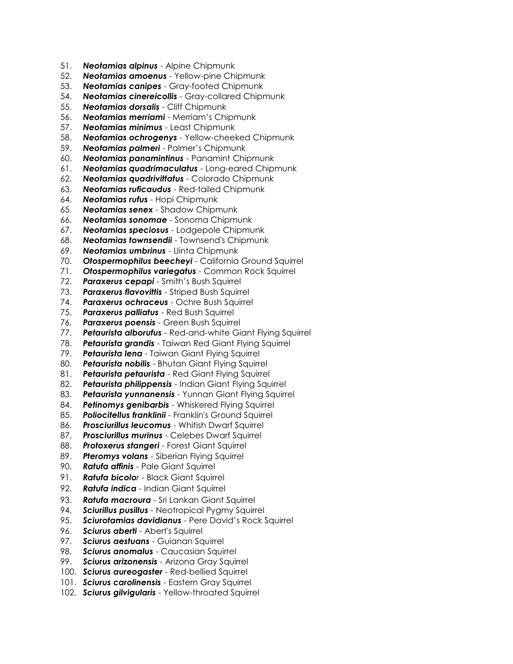- 51. *Neotamias alpinus* Alpine Chipmunk
- 52. *Neotamias amoenus* Yellow-pine Chipmunk
- 53. *Neotamias canipes* Gray-footed Chipmunk
- 54. *Neotamias cinereicollis* Gray-collared Chipmunk
- 55. *Neotamias dorsalis* Cliff Chipmunk
- 56. *Neotamias merriami* Merriam's Chipmunk
- 57. *Neotamias minimus* Least Chipmunk
- 58. *Neotamias ochrogenys* Yellow-cheeked Chipmunk
- 59. *Neotamias palmeri* Palmer's Chipmunk
- 60. *Neotamias panamintinus* Panamint Chipmunk
- 61. *Neotamias quadrimaculatus* Long-eared Chipmunk
- 62. *Neotamias quadrivittatus* Colorado Chipmunk
- 63. *Neotamias ruficaudus* Red-tailed Chipmunk
- 64. *Neotamias rufus* Hopi Chipmunk
- 65. *Neotamias senex* Shadow Chipmunk
- 66. *Neotamias sonomae* Sonoma Chipmunk
- 67. *Neotamias speciosus* Lodgepole Chipmunk
- 68. *Neotamias townsendii* Townsend's Chipmunk
- 69. *Neotamias umbrinus* Uinta Chipmunk
- 70. *Otospermophilus beecheyi* California Ground Squirrel
- 71. *Otospermophilus variegatus* Common Rock Squirrel
- 72. *Paraxerus cepapi* Smith's Bush Squirrel
- 73. **Paraxerus flavovittis** Striped Bush Squirrel
- 74. *Paraxerus ochraceus* Ochre Bush Squirrel
- 75. *Paraxerus palliatus* Red Bush Squirrel
- 76. *Paraxerus poensis* Green Bush Squirrel
- 77. *Petaurista alborufus* Red-and-white Giant Flying Squirrel
- 78. *Petaurista grandis* Taiwan Red Giant Flying Squirrel
- 79. *Petaurista lena* Taiwan Giant Flying Squirrel
- 80. *Petaurista nobilis* Bhutan Giant Flying Squirrel
- 81. *Petaurista petaurista* Red Giant Flying Squirrel
- 82. *Petaurista philippensis* Indian Giant Flying Squirrel
- 83. *Petaurista yunnanensis* Yunnan Giant Flying Squirrel
- 84. *Petinomys genibarbis* Whiskered Flying Squirrel
- 85. *Poliocitellus franklinii* Franklin's Ground Squirrel
- 86. *Prosciurillus leucomus* Whitish Dwarf Squirrel
- 87. *Prosciurillus murinus* Celebes Dwarf Squirrel
- 88. *Protoxerus stangeri* Forest Giant Squirrel
- 89. *Pteromys volans* Siberian Flying Squirrel
- 90. *Ratufa affinis* Pale Giant Squirrel
- 91. *Ratufa bicolor* Black Giant Squirrel
- 92. *Ratufa indica* Indian Giant Squirrel
- 93. *Ratufa macroura* Sri Lankan Giant Squirrel
- 94. *Sciurillus pusillus* Neotropical Pygmy Squirrel
- 95. *Sciurotamias davidianus* Pere David's Rock Squirrel
- 96. *Sciurus aberti* Abert's Squirrel
- 97. *Sciurus aestuans* Guianan Squirrel
- 98. *Sciurus anomalus* Caucasian Squirrel
- 99. *Sciurus arizonensis* Arizona Gray Squirrel
- 100. *Sciurus aureogaster* Red-bellied Squirrel
- 101. *Sciurus carolinensis* Eastern Gray Squirrel
- 102. *Sciurus gilvigularis* Yellow-throated Squirrel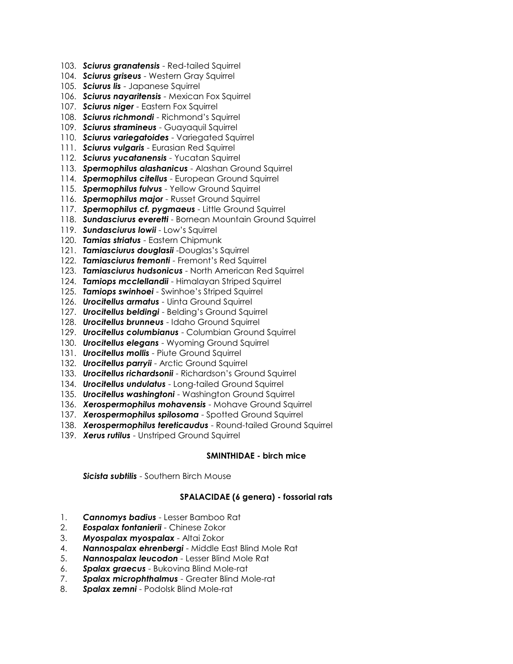- 103. *Sciurus granatensis* Red-tailed Squirrel
- 104. *Sciurus griseus* Western Gray Squirrel
- 105. *Sciurus lis* Japanese Squirrel
- 106. *Sciurus nayaritensis* Mexican Fox Squirrel
- 107. *Sciurus niger* Eastern Fox Squirrel
- 108. *Sciurus richmondi* Richmond's Squirrel
- 109. *Sciurus stramineus* Guayaquil Squirrel
- 110. *Sciurus variegatoides* Variegated Squirrel
- 111. *Sciurus vulgaris* Eurasian Red Squirrel
- 112. *Sciurus yucatanensis* Yucatan Squirrel
- 113. *Spermophilus alashanicus* Alashan Ground Squirrel
- 114. *Spermophilus citellus* European Ground Squirrel
- 115. *Spermophilus fulvus* Yellow Ground Squirrel
- 116. *Spermophilus major* Russet Ground Squirrel
- 117. *Spermophilus cf. pygmaeus* Little Ground Squirrel
- 118. *Sundasciurus everetti* Bornean Mountain Ground Squirrel
- 119. *Sundasciurus lowii* Low's Squirrel
- 120. *Tamias striatus* Eastern Chipmunk
- 121. *Tamiasciurus douglasii* -Douglas's Squirrel
- 122. *Tamiasciurus fremonti* Fremont's Red Squirrel
- 123. *Tamiasciurus hudsonicus* North American Red Squirrel
- 124. *Tamiops mcclellandii* Himalayan Striped Squirrel
- 125. *Tamiops swinhoei* Swinhoe's Striped Squirrel
- 126. *Urocitellus armatus* Uinta Ground Squirrel
- 127. *Urocitellus beldingi* Belding's Ground Squirrel
- 128. *Urocitellus brunneus* Idaho Ground Squirrel
- 129. *Urocitellus columbianus* Columbian Ground Squirrel
- 130. **Urocitellus elegans** Wyoming Ground Squirrel
- 131. *Urocitellus mollis* Piute Ground Squirrel
- 132. *Urocitellus parryii* Arctic Ground Squirrel
- 133. *Urocitellus richardsonii* Richardson's Ground Squirrel
- 134. *Urocitellus undulatus* Long-tailed Ground Squirrel
- 135. *Urocitellus washingtoni* Washington Ground Squirrel
- 136. *Xerospermophilus mohavensis* Mohave Ground Squirrel
- 137. *Xerospermophilus spilosoma* Spotted Ground Squirrel
- 138. *Xerospermophilus tereticaudus* Round-tailed Ground Squirrel
- 139. *Xerus rutilus* Unstriped Ground Squirrel

### **SMINTHIDAE - birch mice**

*Sicista subtilis* - Southern Birch Mouse

### **SPALACIDAE (6 genera) - fossorial rats**

- 1. *Cannomys badius* Lesser Bamboo Rat
- 2. *Eospalax fontanierii* Chinese Zokor
- 3. *Myospalax myospalax* Altai Zokor
- 4. *Nannospalax ehrenbergi* Middle East Blind Mole Rat
- 5. *Nannospalax leucodon* Lesser Blind Mole Rat
- 6. *Spalax graecus* Bukovina Blind Mole-rat
- 7. *Spalax microphthalmus* Greater Blind Mole-rat
- 8. *Spalax zemni* Podolsk Blind Mole-rat